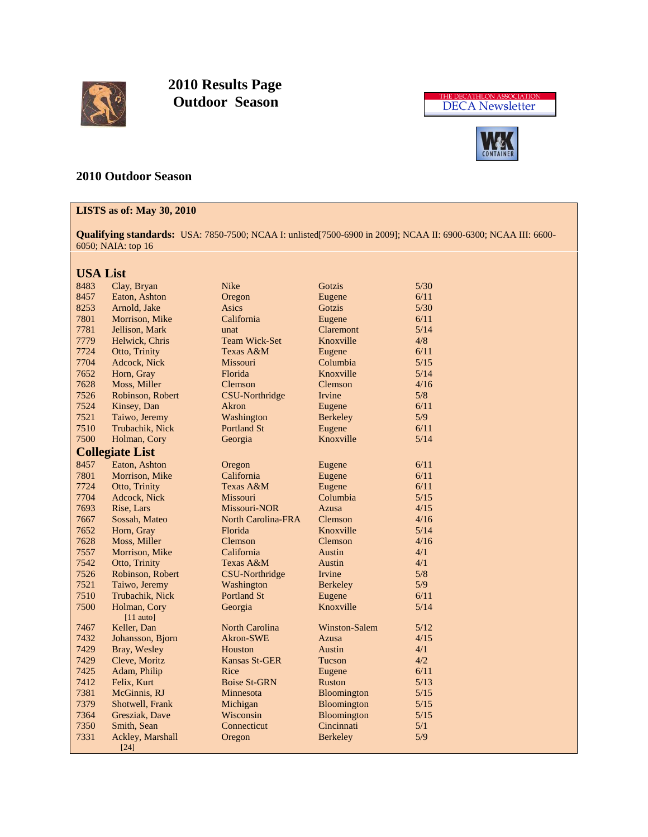

 **2010 Results Page Outdoor Season**





# **2010 Outdoor Season**

# **LISTS as of: May 30, 2010**

**Qualifying standards:** USA: 7850-7500; NCAA I: unlisted[7500-6900 in 2009]; NCAA II: 6900-6300; NCAA III: 6600- 6050; NAIA: top 16

# **USA List**

| 8483 | Clay, Bryan                 | <b>Nike</b>           | Gotzis               | $5/30$ |
|------|-----------------------------|-----------------------|----------------------|--------|
| 8457 | Eaton, Ashton               | Oregon                | Eugene               | 6/11   |
| 8253 | Arnold, Jake                | Asics                 | Gotzis               | 5/30   |
| 7801 | Morrison, Mike              | California            | Eugene               | 6/11   |
| 7781 | Jellison, Mark              | unat                  | Claremont            | 5/14   |
| 7779 | Helwick, Chris              | <b>Team Wick-Set</b>  | Knoxville            | 4/8    |
| 7724 | Otto, Trinity               | Texas A&M             | Eugene               | 6/11   |
| 7704 | Adcock, Nick                | Missouri              | Columbia             | 5/15   |
| 7652 | Horn, Gray                  | Florida               | Knoxville            | 5/14   |
| 7628 | Moss, Miller                | Clemson               | Clemson              | 4/16   |
| 7526 | Robinson, Robert            | <b>CSU-Northridge</b> | <b>Irvine</b>        | 5/8    |
| 7524 | Kinsey, Dan                 | Akron                 | Eugene               | 6/11   |
| 7521 | Taiwo, Jeremy               | Washington            | <b>Berkeley</b>      | 5/9    |
| 7510 | Trubachik, Nick             | <b>Portland St</b>    | Eugene               | 6/11   |
| 7500 | Holman, Cory                | Georgia               | Knoxville            | 5/14   |
|      | <b>Collegiate List</b>      |                       |                      |        |
| 8457 | Eaton, Ashton               | Oregon                | Eugene               | 6/11   |
| 7801 | Morrison, Mike              | California            | Eugene               | 6/11   |
| 7724 | Otto, Trinity               | Texas A&M             | Eugene               | 6/11   |
| 7704 | Adcock, Nick                | Missouri              | Columbia             | $5/15$ |
| 7693 | Rise, Lars                  | Missouri-NOR          | Azusa                | 4/15   |
| 7667 | Sossah, Mateo               | North Carolina-FRA    | Clemson              | 4/16   |
| 7652 | Horn, Gray                  | Florida               | Knoxville            | 5/14   |
| 7628 | Moss, Miller                | Clemson               | Clemson              | 4/16   |
| 7557 | Morrison, Mike              | California            | Austin               | 4/1    |
| 7542 | Otto, Trinity               | Texas A&M             | Austin               | 4/1    |
| 7526 | Robinson, Robert            | <b>CSU-Northridge</b> | Irvine               | 5/8    |
| 7521 | Taiwo, Jeremy               | Washington            | <b>Berkeley</b>      | 5/9    |
| 7510 | Trubachik, Nick             | <b>Portland St</b>    | Eugene               | 6/11   |
| 7500 | Holman, Cory<br>$[11$ auto] | Georgia               | Knoxville            | 5/14   |
| 7467 | Keller, Dan                 | <b>North Carolina</b> | <b>Winston-Salem</b> | 5/12   |
| 7432 | Johansson, Bjorn            | Akron-SWE             | Azusa                | 4/15   |
| 7429 | Bray, Wesley                | Houston               | Austin               | 4/1    |
| 7429 | Cleve, Moritz               | Kansas St-GER         | Tucson               | 4/2    |
| 7425 | Adam, Philip                | Rice                  | Eugene               | 6/11   |
| 7412 | Felix, Kurt                 | <b>Boise St-GRN</b>   | <b>Ruston</b>        | 5/13   |
| 7381 | McGinnis, RJ                | Minnesota             | Bloomington          | 5/15   |
| 7379 | Shotwell, Frank             | Michigan              | Bloomington          | 5/15   |
| 7364 | Gresziak, Dave              | Wisconsin             | Bloomington          | 5/15   |
| 7350 | Smith, Sean                 | Connecticut           | Cincinnati           | 5/1    |
| 7331 | Ackley, Marshall            | Oregon                | <b>Berkeley</b>      | 5/9    |
|      | $[24]$                      |                       |                      |        |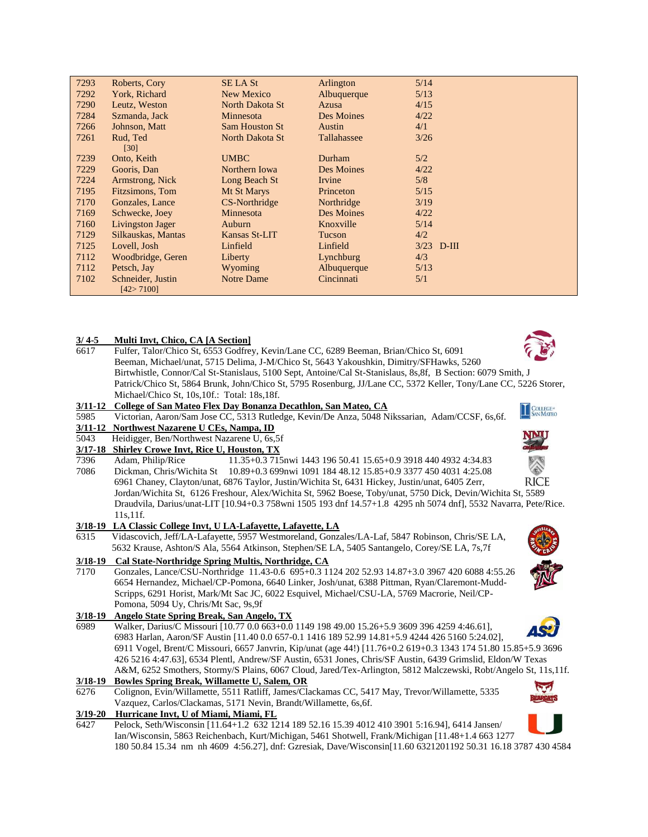| 7293 | Roberts, Cory      | <b>SE LA St</b>       | Arlington   | 5/14         |
|------|--------------------|-----------------------|-------------|--------------|
| 7292 | York, Richard      | New Mexico            | Albuquerque | 5/13         |
| 7290 | Leutz, Weston      | North Dakota St       | Azusa       | 4/15         |
| 7284 | Szmanda, Jack      | Minnesota             | Des Moines  | 4/22         |
| 7266 | Johnson, Matt      | <b>Sam Houston St</b> | Austin      | 4/1          |
| 7261 | Rud, Ted           | North Dakota St       | Tallahassee | 3/26         |
|      | $\left[30\right]$  |                       |             |              |
| 7239 | Onto, Keith        | <b>UMBC</b>           | Durham      | 5/2          |
| 7229 | Gooris, Dan        | Northern Iowa         | Des Moines  | 4/22         |
| 7224 | Armstrong, Nick    | Long Beach St         | Irvine      | 5/8          |
| 7195 | Fitzsimons, Tom    | Mt St Marys           | Princeton   | 5/15         |
| 7170 | Gonzales, Lance    | CS-Northridge         | Northridge  | 3/19         |
| 7169 | Schwecke, Joey     | Minnesota             | Des Moines  | 4/22         |
| 7160 | Livingston Jager   | Auburn                | Knoxville   | 5/14         |
| 7129 | Silkauskas, Mantas | Kansas St-LIT         | Tucson      | 4/2          |
| 7125 | Lovell, Josh       | Linfield              | Linfield    | $3/23$ D-III |
| 7112 | Woodbridge, Geren  | Liberty               | Lynchburg   | 4/3          |
| 7112 | Petsch, Jay        | Wyoming               | Albuquerque | 5/13         |
| 7102 | Schneider, Justin  | Notre Dame            | Cincinnati  | 5/1          |
|      | [42>7100]          |                       |             |              |

### **3/ 4-5 Multi Invt, Chico, CA [A Section]**

6617 Fulfer, Talor/Chico St, 6553 Godfrey, Kevin/Lane CC, 6289 Beeman, Brian/Chico St, 6091 Beeman, Michael/unat, 5715 Delima, J-M/Chico St, 5643 Yakoushkin, Dimitry/SFHawks, 5260 Birtwhistle, Connor/Cal St-Stanislaus, 5100 Sept, Antoine/Cal St-Stanislaus, 8s,8f, B Section: 6079 Smith, J Patrick/Chico St, 5864 Brunk, John/Chico St, 5795 Rosenburg, JJ/Lane CC, 5372 Keller, Tony/Lane CC, 5226 Storer, Michael/Chico St, 10s,10f.: Total: 18s,18f.

### **3/11-12 College of San Mateo Flex Day Bonanza Decathlon, San Mateo, CA**

5985 Victorian, Aaron/Sam Jose CC, 5313 Rutledge, Kevin/De Anza, 5048 Nikssarian, Adam/CCSF, 6s,6f.

#### **3/11-12 Northwest Nazarene U CEs, Nampa, ID**

- 5043 Heidigger, Ben/Northwest Nazarene U, 6s,5f
- **3/17-18 Shirley Crowe Invt, Rice U, Houston, TX**
- 7396 Adam, Philip/Rice 11.35+0.3 715nwi 1443 196 50.41 15.65+0.9 3918 440 4932 4:34.83 7086 Dickman, Chris/Wichita St 10.89+0.3 699nwi 1091 184 48.12 15.85+0.9 3377 450 4031 4:25.08 **RICE** 6961 Chaney, Clayton/unat, 6876 Taylor, Justin/Wichita St, 6431 Hickey, Justin/unat, 6405 Zerr, Jordan/Wichita St, 6126 Freshour, Alex/Wichita St, 5962 Boese, Toby/unat, 5750 Dick, Devin/Wichita St, 5589 Draudvila, Darius/unat-LIT [10.94+0.3 758wni 1505 193 dnf 14.57+1.8 4295 nh 5074 dnf], 5532 Navarra, Pete/Rice. 11s,11f.

# **3/18-19 LA Classic College Invt, U LA-Lafayette, Lafayette, LA**

6315 Vidascovich, Jeff/LA-Lafayette, 5957 Westmoreland, Gonzales/LA-Laf, 5847 Robinson, Chris/SE LA, 5632 Krause, Ashton/S Ala, 5564 Atkinson, Stephen/SE LA, 5405 Santangelo, Corey/SE LA, 7s,7f

### **3/18-19 Cal State-Northridge Spring Multis, Northridge, CA**

7170 Gonzales, Lance/CSU-Northridge 11.43-0.6 695+0.3 1124 202 52.93 14.87+3.0 3967 420 6088 4:55.26 6654 Hernandez, Michael/CP-Pomona, 6640 Linker, Josh/unat, 6388 Pittman, Ryan/Claremont-Mudd- Scripps, 6291 Horist, Mark/Mt Sac JC, 6022 Esquivel, Michael/CSU-LA, 5769 Macrorie, Neil/CP- Pomona, 5094 Uy, Chris/Mt Sac, 9s,9f

# **3/18-19 Angelo State Spring Break, San Angelo, TX**

6989 Walker, Darius/C Missouri [10.77 0.0 663+0.0 1149 198 49.00 15.26+5.9 3609 396 4259 4:46.61], 6983 Harlan, Aaron/SF Austin [11.40 0.0 657-0.1 1416 189 52.99 14.81+5.9 4244 426 5160 5:24.02], 6911 Vogel, Brent/C Missouri, 6657 Janvrin, Kip/unat (age 44!) [11.76+0.2 619+0.3 1343 174 51.80 15.85+5.9 3696 426 5216 4:47.63], 6534 Plentl, Andrew/SF Austin, 6531 Jones, Chris/SF Austin, 6439 Grimslid, Eldon/W Texas A&M, 6252 Smothers, Stormy/S Plains, 6067 Cloud, Jared/Tex-Arlington, 5812 Malczewski, Robt/Angelo St, 11s,11f.

### **3/18-19 Bowles Spring Break, Willamette U, Salem, OR**

6276 Colignon, Evin/Willamette, 5511 Ratliff, James/Clackamas CC, 5417 May, Trevor/Willamette, 5335 Vazquez, Carlos/Clackamas, 5171 Nevin, Brandt/Willamette, 6s,6f.

### **3/19-20 Hurricane Invt, U of Miami, Miami, FL**

6427 Pelock, Seth/Wisconsin [11.64+1.2 632 1214 189 52.16 15.39 4012 410 3901 5:16.94], 6414 Jansen/ Ian/Wisconsin, 5863 Reichenbach, Kurt/Michigan, 5461 Shotwell, Frank/Michigan [11.48+1.4 663 1277 180 50.84 15.34 nm nh 4609 4:56.27], dnf: Gzresiak, Dave/Wisconsin[11.60 6321201192 50.31 16.18 3787 430 4584



COLLEGE<sup>®</sup>











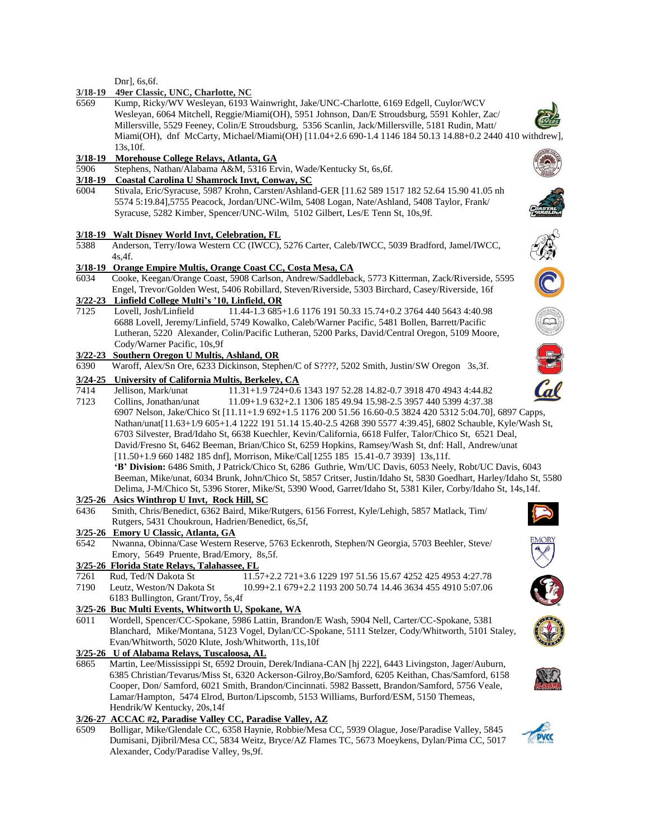Dnr], 6s,6f.

### **3/18-19 49er Classic, UNC, Charlotte, NC**

6569 Kump, Ricky/WV Wesleyan, 6193 Wainwright, Jake/UNC-Charlotte, 6169 Edgell, Cuylor/WCV Wesleyan, 6064 Mitchell, Reggie/Miami(OH), 5951 Johnson, Dan/E Stroudsburg, 5591 Kohler, Zac/ Millersville, 5529 Feeney, Colin/E Stroudsburg, 5356 Scanlin, Jack/Millersville, 5181 Rudin, Matt/ Miami(OH), dnf McCarty, Michael/Miami(OH) [11.04+2.6 690-1.4 1146 184 50.13 14.88+0.2 2440 410 withdrew], 13s,10f.

### **3/18-19 Morehouse College Relays, Atlanta, GA**

5906 Stephens, Nathan/Alabama A&M, 5316 Ervin, Wade/Kentucky St, 6s,6f.

#### **3/18-19 Coastal Carolina U Shamrock Invt, Conway, SC**

6004 Stivala, Eric/Syracuse, 5987 Krohn, Carsten/Ashland-GER [11.62 589 1517 182 52.64 15.90 41.05 nh 5574 5:19.84],5755 Peacock, Jordan/UNC-Wilm, 5408 Logan, Nate/Ashland, 5408 Taylor, Frank/ Syracuse, 5282 Kimber, Spencer/UNC-Wilm, 5102 Gilbert, Les/E Tenn St, 10s,9f.

#### **3/18-19 Walt Disney World Invt, Celebration, FL**

5388 Anderson, Terry/Iowa Western CC (IWCC), 5276 Carter, Caleb/IWCC, 5039 Bradford, Jamel/IWCC, 4s,4f.

# **3/18-19 Orange Empire Multis, Orange Coast CC, Costa Mesa, CA**

6034 Cooke, Keegan/Orange Coast, 5908 Carlson, Andrew/Saddleback, 5773 Kitterman, Zack/Riverside, 5595 Engel, Trevor/Golden West, 5406 Robillard, Steven/Riverside, 5303 Birchard, Casey/Riverside, 16f

# **3/22-23 Linfield College Multi's '10, Linfield, OR**

7125 Lovell, Josh/Linfield 11.44-1.3 685+1.6 1176 191 50.33 15.74+0.2 3764 440 5643 4:40.98 6688 Lovell, Jeremy/Linfield, 5749 Kowalko, Caleb/Warner Pacific, 5481 Bollen, Barrett/Pacific Lutheran, 5220 Alexander, Colin/Pacific Lutheran, 5200 Parks, David/Central Oregon, 5109 Moore, Cody/Warner Pacific, 10s,9f

### **3/22-23 Southern Oregon U Multis, Ashland, OR**

6390 Waroff, Alex/Sn Ore, 6233 Dickinson, Stephen/C of S????, 5202 Smith, Justin/SW Oregon 3s,3f.

### **3/24-25 University of California Multis, Berkeley, CA**

7414 Jellison, Mark/unat 11.31+1.9 724+0.6 1343 197 52.28 14.82-0.7 3918 470 4943 4:44.82 7123 Collins, Jonathan/unat 11.09+1.9 632+2.1 1306 185 49.94 15.98-2.5 3957 440 5399 4:37.38 6907 Nelson, Jake/Chico St [11.11+1.9 692+1.5 1176 200 51.56 16.60-0.5 3824 420 5312 5:04.70], 6897 Capps, Nathan/unat[11.63+1/9 605+1.4 1222 191 51.14 15.40-2.5 4268 390 5577 4:39.45], 6802 Schauble, Kyle/Wash St, 6703 Silvester, Brad/Idaho St, 6638 Kuechler, Kevin/California, 6618 Fulfer, Talor/Chico St, 6521 Deal, David/Fresno St, 6462 Beeman, Brian/Chico St, 6259 Hopkins, Ramsey/Wash St, dnf: Hall, Andrew/unat [11.50+1.9 660 1482 185 dnf], Morrison, Mike/Cal[1255 185 15.41-0.7 3939] 13s,11f. **'B' Division:** 6486 Smith, J Patrick/Chico St, 6286 Guthrie, Wm/UC Davis, 6053 Neely, Robt/UC Davis, 6043 Beeman, Mike/unat, 6034 Brunk, John/Chico St, 5857 Critser, Justin/Idaho St, 5830 Goedhart, Harley/Idaho St, 5580 Delima, J-M/Chico St, 5396 Storer, Mike/St, 5390 Wood, Garret/Idaho St, 5381 Kiler, Corby/Idaho St, 14s,14f.

# **3/25-26 Asics Winthrop U Invt, Rock Hill, SC**

6436 Smith, Chris/Benedict, 6362 Baird, Mike/Rutgers, 6156 Forrest, Kyle/Lehigh, 5857 Matlack, Tim/ Rutgers, 5431 Choukroun, Hadrien/Benedict, 6s,5f,

#### **3/25-26 Emory U Classic, Atlanta, GA**

6542 Nwanna, Obinna/Case Western Reserve, 5763 Eckenroth, Stephen/N Georgia, 5703 Beehler, Steve/ Emory, 5649 Pruente, Brad/Emory, 8s,5f.

#### **3/25-26 Florida State Relays, Talahassee, FL**

7261 Rud, Ted/N Dakota St 11.57+2.2 721+3.6 1229 197 51.56 15.67 4252 425 4953 4:27.78 7190 Leutz, Weston/N Dakota St 10.99+2.1 679+2.2 1193 200 50.74 14.46 3634 455 4910 5:07.06

# 6183 Bullington, Grant/Troy, 5s,4f

**3/25-26 Buc Multi Events, Whitworth U, Spokane, WA** 6011 Wordell, Spencer/CC-Spokane, 5986 Lattin, Brandon/E Wash, 5904 Nell, Carter/CC-Spokane, 5381 Blanchard, Mike/Montana, 5123 Vogel, Dylan/CC-Spokane, 5111 Stelzer, Cody/Whitworth, 5101 Staley, Evan/Whitworth, 5020 Klute, Josh/Whitworth, 11s,10f

#### **3/25-26 U of Alabama Relays, Tuscaloosa, AL**

6865 Martin, Lee/Mississippi St, 6592 Drouin, Derek/Indiana-CAN [hj 222], 6443 Livingston, Jager/Auburn, 6385 Christian/Tevarus/Miss St, 6320 Ackerson-Gilroy,Bo/Samford, 6205 Keithan, Chas/Samford, 6158 Cooper, Don/ Samford, 6021 Smith, Brandon/Cincinnati. 5982 Bassett, Brandon/Samford, 5756 Veale, Lamar/Hampton, 5474 Elrod, Burton/Lipscomb, 5153 Williams, Burford/ESM, 5150 Themeas, Hendrik/W Kentucky, 20s,14f

# **3/26-27 ACCAC #2, Paradise Valley CC, Paradise Valley, AZ**

6509 Bolligar, Mike/Glendale CC, 6358 Haynie, Robbie/Mesa CC, 5939 Olague, Jose/Paradise Valley, 5845 Dumisani, Djibril/Mesa CC, 5834 Weitz, Bryce/AZ Flames TC, 5673 Moeykens, Dylan/Pima CC, 5017 Alexander, Cody/Paradise Valley, 9s,9f.





























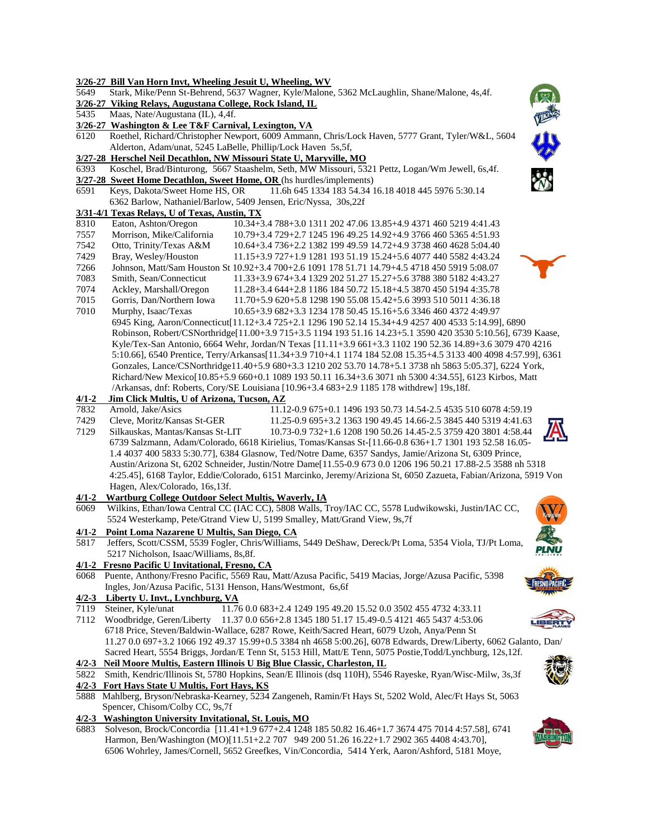|           | 3/26-27 Bill Van Horn Invt, Wheeling Jesuit U, Wheeling, WV                                                                                                                                     |
|-----------|-------------------------------------------------------------------------------------------------------------------------------------------------------------------------------------------------|
| 5649      | Stark, Mike/Penn St-Behrend, 5637 Wagner, Kyle/Malone, 5362 McLaughlin, Shane/Malone, 4s,4f.                                                                                                    |
|           | 3/26-27 Viking Relays, Augustana College, Rock Island, IL                                                                                                                                       |
| 5435      | Maas, Nate/Augustana (IL), 4,4f.                                                                                                                                                                |
|           | 3/26-27 Washington & Lee T&F Carnival, Lexington, VA                                                                                                                                            |
| 6120      | Roethel, Richard/Christopher Newport, 6009 Ammann, Chris/Lock Haven, 5777 Grant, Tyler/W&L, 5604                                                                                                |
|           | Alderton, Adam/unat, 5245 LaBelle, Phillip/Lock Haven 5s,5f,                                                                                                                                    |
|           | 3/27-28 Herschel Neil Decathlon, NW Missouri State U, Maryville, MO                                                                                                                             |
| 6393      | Koschel, Brad/Binturong, 5667 Staashelm, Seth, MW Missouri, 5321 Pettz, Logan/Wm Jewell, 6s,4f.                                                                                                 |
|           | 3/27-28 Sweet Home Decathlon, Sweet Home, OR (hs hurdles/implements)                                                                                                                            |
| 6591      | 11.6h 645 1334 183 54.34 16.18 4018 445 5976 5:30.14<br>Keys, Dakota/Sweet Home HS, OR                                                                                                          |
|           | 6362 Barlow, Nathaniel/Barlow, 5409 Jensen, Eric/Nyssa, 30s,22f                                                                                                                                 |
|           | 3/31-4/1 Texas Relays, U of Texas, Austin, TX                                                                                                                                                   |
| 8310      | Eaton, Ashton/Oregon<br>10.34+3.4 788+3.0 1311 202 47.06 13.85+4.9 4371 460 5219 4:41.43                                                                                                        |
| 7557      | Morrison, Mike/California<br>10.79+3.4 729+2.7 1245 196 49.25 14.92+4.9 3766 460 5365 4:51.93                                                                                                   |
| 7542      | Otto, Trinity/Texas A&M<br>10.64+3.4 736+2.2 1382 199 49.59 14.72+4.9 3738 460 4628 5:04.40                                                                                                     |
| 7429      | Bray, Wesley/Houston<br>11.15+3.9 727+1.9 1281 193 51.19 15.24+5.6 4077 440 5582 4:43.24                                                                                                        |
| 7266      | Johnson, Matt/Sam Houston St 10.92+3.4 700+2.6 1091 178 51.71 14.79+4.5 4718 450 5919 5:08.07                                                                                                   |
| 7083      | Smith, Sean/Connecticut<br>11.33+3.9 674+3.4 1329 202 51.27 15.27+5.6 3788 380 5182 4:43.27                                                                                                     |
| 7074      | Ackley, Marshall/Oregon<br>11.28+3.4 644+2.8 1186 184 50.72 15.18+4.5 3870 450 5194 4:35.78                                                                                                     |
| 7015      | Gorris, Dan/Northern Iowa<br>11.70+5.9 620+5.8 1298 190 55.08 15.42+5.6 3993 510 5011 4:36.18                                                                                                   |
| 7010      | Murphy, Isaac/Texas<br>10.65+3.9 682+3.3 1234 178 50.45 15.16+5.6 3346 460 4372 4:49.97                                                                                                         |
|           | 6995 King, Aaron/Connecticut[11.12+3.4 725+2.1 1296 190 52.14 15.34+4.9 4257 400 4533 5:14.99], 6890                                                                                            |
|           | Robinson, Robert/CSNorthridge[11.00+3.9 715+3.5 1194 193 51.16 14.23+5.1 3590 420 3530 5:10.56], 6739 Kaase,                                                                                    |
|           | Kyle/Tex-San Antonio, 6664 Wehr, Jordan/N Texas [11.11+3.9 661+3.3 1102 190 52.36 14.89+3.6 3079 470 4216                                                                                       |
|           | 5:10.66], 6540 Prentice, Terry/Arkansas[11.34+3.9 710+4.1 1174 184 52.08 15.35+4.5 3133 400 4098 4:57.99], 6361                                                                                 |
|           | Gonzales, Lance/CSNorthridge11.40+5.9 680+3.3 1210 202 53.70 14.78+5.1 3738 nh 5863 5:05.37], 6224 York,                                                                                        |
|           | Richard/New Mexico[10.85+5.9 660+0.1 1089 193 50.11 16.34+3.6 3071 nh 5300 4:34.55], 6123 Kirbos, Matt                                                                                          |
|           | /Arkansas, dnf: Roberts, Cory/SE Louisiana [10.96+3.4 683+2.9 1185 178 withdrew] 19s,18f.                                                                                                       |
| $4/1 - 2$ | Jim Click Multis, U of Arizona, Tucson, AZ                                                                                                                                                      |
| 7832      | Arnold, Jake/Asics<br>11.12-0.9 675+0.1 1496 193 50.73 14.54-2.5 4535 510 6078 4:59.19                                                                                                          |
| 7429      | Cleve, Moritz/Kansas St-GER<br>11.25-0.9 695+3.2 1363 190 49.45 14.66-2.5 3845 440 5319 4:41.63                                                                                                 |
| 7129      | Silkauskas, Mantas/Kansas St-LIT<br>10.73-0.9 732+1.6 1208 190 50.26 14.45-2.5 3759 420 3801 4:58.44                                                                                            |
|           | 6739 Salzmann, Adam/Colorado, 6618 Kirielius, Tomas/Kansas St-[11.66-0.8 636+1.7 1301 193 52.58 16.05-                                                                                          |
|           | 1.4 4037 400 5833 5:30.77], 6384 Glasnow, Ted/Notre Dame, 6357 Sandys, Jamie/Arizona St, 6309 Prince,                                                                                           |
|           | Austin/Arizona St, 6202 Schneider, Justin/Notre Dame[11.55-0.9 673 0.0 1206 196 50.21 17.88-2.5 3588 nh 5318                                                                                    |
|           | 4:25.45], 6168 Taylor, Eddie/Colorado, 6151 Marcinko, Jeremy/Ariziona St, 6050 Zazueta, Fabian/Arizona, 5919 Von                                                                                |
|           |                                                                                                                                                                                                 |
| $4/1 - 2$ |                                                                                                                                                                                                 |
|           | Hagen, Alex/Colorado, 16s, 13f.                                                                                                                                                                 |
|           | <b>Wartburg College Outdoor Select Multis, Waverly, IA</b>                                                                                                                                      |
| 6069      | Wilkins, Ethan/Iowa Central CC (IAC CC), 5808 Walls, Troy/IAC CC, 5578 Ludwikowski, Justin/IAC CC,                                                                                              |
|           | 5524 Westerkamp, Pete/Gtrand View U, 5199 Smalley, Matt/Grand View, 9s,7f                                                                                                                       |
| $4/1 - 2$ | Point Loma Nazarene U Multis, San Diego, CA                                                                                                                                                     |
| 5817      | Jeffers, Scott/CSSM, 5539 Fogler, Chris/Williams, 5449 DeShaw, Dereck/Pt Loma, 5354 Viola, TJ/Pt Loma,                                                                                          |
|           | 5217 Nicholson, Isaac/Williams, 8s, 8f.                                                                                                                                                         |
| 4/1-2     | Fresno Pacific U Invitational, Fresno, CA                                                                                                                                                       |
| 6068      | Puente, Anthony/Fresno Pacific, 5569 Rau, Matt/Azusa Pacific, 5419 Macias, Jorge/Azusa Pacific, 5398                                                                                            |
|           | Ingles, Jon/Azusa Pacific, 5131 Henson, Hans/Westmont, 6s, 6f                                                                                                                                   |
|           | 4/2-3 Liberty U. Invt., Lynchburg, VA                                                                                                                                                           |
| 7119      | Steiner, Kyle/unat<br>11.76 0.0 683+2.4 1249 195 49.20 15.52 0.0 3502 455 4732 4:33.11                                                                                                          |
| 7112      | Woodbridge, Geren/Liberty<br>11.37 0.0 656+2.8 1345 180 51.17 15.49-0.5 4121 465 5437 4:53.06                                                                                                   |
|           | 6718 Price, Steven/Baldwin-Wallace, 6287 Rowe, Keith/Sacred Heart, 6079 Uzoh, Anya/Penn St                                                                                                      |
|           | 11.27 0.0 697+3.2 1066 192 49.37 15.99+0.5 3384 nh 4658 5:00.26], 6078 Edwards, Drew/Liberty, 6062 Galanto, Dan/                                                                                |
|           | Sacred Heart, 5554 Briggs, Jordan/E Tenn St, 5153 Hill, Matt/E Tenn, 5075 Postie, Todd/Lynchburg, 12s, 12f.                                                                                     |
|           | 4/2-3 Neil Moore Multis, Eastern Illinois U Big Blue Classic, Charleston, IL                                                                                                                    |
| 5822      | Smith, Kendric/Illinois St, 5780 Hopkins, Sean/E Illinois (dsq 110H), 5546 Rayeske, Ryan/Wisc-Milw, 3s,3f                                                                                       |
|           | 4/2-3 Fort Hays State U Multis, Fort Hays, KS                                                                                                                                                   |
|           | 5888 Mahlberg, Bryson/Nebraska-Kearney, 5234 Zangeneh, Ramin/Ft Hays St, 5202 Wold, Alec/Ft Hays St, 5063                                                                                       |
|           | Spencer, Chisom/Colby CC, 9s,7f                                                                                                                                                                 |
|           | 4/2-3 Washington University Invitational, St. Louis, MO                                                                                                                                         |
| 6883      | Solveson, Brock/Concordia [11.41+1.9 677+2.4 1248 185 50.82 16.46+1.7 3674 475 7014 4:57.58], 6741<br>Harmon, Ben/Washington (MO)[11.51+2.2 707 949 200 51.26 16.22+1.7 2902 365 4408 4:43.70], |

6506 Wohrley, James/Cornell, 5652 Greefkes, Vin/Concordia, 5414 Yerk, Aaron/Ashford, 5181 Moye,



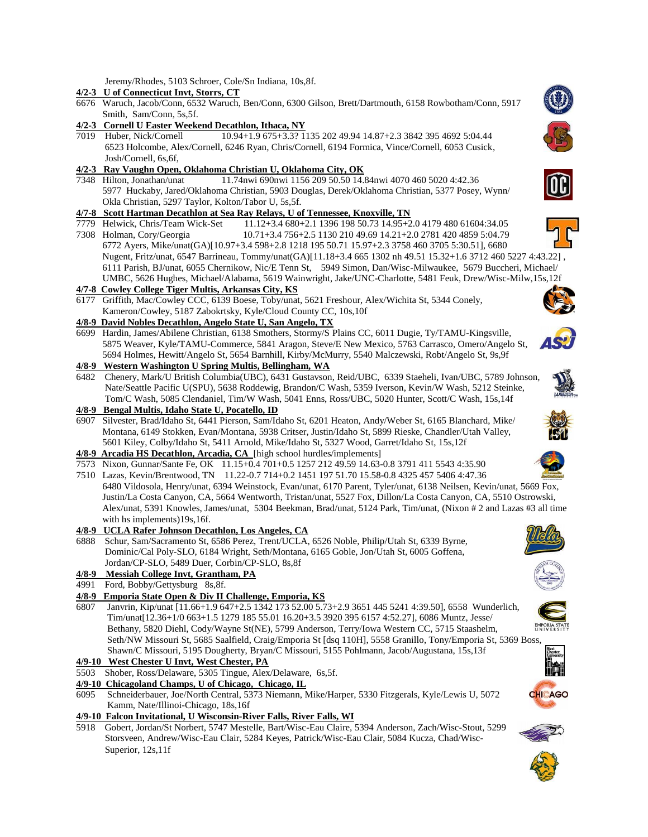Jeremy/Rhodes, 5103 Schroer, Cole/Sn Indiana, 10s,8f.

#### **4/2-3 U of Connecticut Invt, Storrs, CT**

- 6676 Waruch, Jacob/Conn, 6532 Waruch, Ben/Conn, 6300 Gilson, Brett/Dartmouth, 6158 Rowbotham/Conn, 5917 Smith, Sam/Conn, 5s,5f.
- **4/2-3 Cornell U Easter Weekend Decathlon, Ithaca, NY**
- 7019 Huber, Nick/Cornell 10.94+1.9 675+3.3? 1135 202 49.94 14.87+2.3 3842 395 4692 5:04.44 6523 Holcombe, Alex/Cornell, 6246 Ryan, Chris/Cornell, 6194 Formica, Vince/Cornell, 6053 Cusick, Josh/Cornell, 6s,6f,

### **4/2-3 Ray Vaughn Open, Oklahoma Christian U, Oklahoma City, OK**

7348 Hilton, Jonathan/unat 11.74nwi 690nwi 1156 209 50.50 14.84nwi 4070 460 5020 4:42.36 5977 Huckaby, Jared/Oklahoma Christian, 5903 Douglas, Derek/Oklahoma Christian, 5377 Posey, Wynn/ Okla Christian, 5297 Taylor, Kolton/Tabor U, 5s,5f.

## **4/7-8 Scott Hartman Decathlon at Sea Ray Relays, U of Tennessee, Knoxville, TN**

- 7779 Helwick, Chris/Team Wick-Set 11.12+3.4 680+2.1 1396 198 50.73 14.95+2.0 4179 480 61604:34.05
- 7308 Holman, Cory/Georgia 10.71+3.4 756+2.5 1130 210 49.69 14.21+2.0 2781 420 4859 5:04.79 6772 Ayers, Mike/unat(GA)[10.97+3.4 598+2.8 1218 195 50.71 15.97+2.3 3758 460 3705 5:30.51], 6680 Nugent, Fritz/unat, 6547 Barrineau, Tommy/unat(GA)[11.18+3.4 665 1302 nh 49.51 15.32+1.6 3712 460 5227 4:43.22] , 6111 Parish, BJ/unat, 6055 Chernikow, Nic/E Tenn St, 5949 Simon, Dan/Wisc-Milwaukee, 5679 Buccheri, Michael/ UMBC, 5626 Hughes, Michael/Alabama, 5619 Wainwright, Jake/UNC-Charlotte, 5481 Feuk, Drew/Wisc-Milw,15s,12f

## **4/7-8 Cowley College Tiger Multis, Arkansas City, KS**

6177 Griffith, Mac/Cowley CCC, 6139 Boese, Toby/unat, 5621 Freshour, Alex/Wichita St, 5344 Conely, Kameron/Cowley, 5187 Zabokrtsky, Kyle/Cloud County CC, 10s,10f

# **4/8-9 David Nobles Decathlon, Angelo State U, San Angelo, TX**

- 6699 Hardin, James/Abilene Christian, 6138 Smothers, Stormy/S Plains CC, 6011 Dugie, Ty/TAMU-Kingsville, 5875 Weaver, Kyle/TAMU-Commerce, 5841 Aragon, Steve/E New Mexico, 5763 Carrasco, Omero/Angelo St, 5694 Holmes, Hewitt/Angelo St, 5654 Barnhill, Kirby/McMurry, 5540 Malczewski, Robt/Angelo St, 9s,9f
- **4/8-9 Western Washington U Spring Multis, Bellingham, WA**
- 6482 Chenery, Mark/U British Columbia(UBC), 6431 Gustavson, Reid/UBC, 6339 Staeheli, Ivan/UBC, 5789 Johnson, Nate/Seattle Pacific U(SPU), 5638 Roddewig, Brandon/C Wash, 5359 Iverson, Kevin/W Wash, 5212 Steinke, Tom/C Wash, 5085 Clendaniel, Tim/W Wash, 5041 Enns, Ross/UBC, 5020 Hunter, Scott/C Wash, 15s,14f

#### **4/8-9 Bengal Multis, Idaho State U, Pocatello, ID**

- 6907 Silvester, Brad/Idaho St, 6441 Pierson, Sam/Idaho St, 6201 Heaton, Andy/Weber St, 6165 Blanchard, Mike/ Montana, 6149 Stokken, Evan/Montana, 5938 Critser, Justin/Idaho St, 5899 Rieske, Chandler/Utah Valley, 5601 Kiley, Colby/Idaho St, 5411 Arnold, Mike/Idaho St, 5327 Wood, Garret/Idaho St, 15s,12f
- **4/8-9 Arcadia HS Decathlon, Arcadia, CA** [high school hurdles/implements]
- 7573 Nixon, Gunnar/Sante Fe, OK 11.15+0.4 701+0.5 1257 212 49.59 14.63-0.8 3791 411 5543 4:35.90
- 7510 Lazas, Kevin/Brentwood, TN 11.22-0.7 714+0.2 1451 197 51.70 15.58-0.8 4325 457 5406 4:47.36 6480 Vildosola, Henry/unat, 6394 Weinstock, Evan/unat, 6170 Parent, Tyler/unat, 6138 Neilsen, Kevin/unat, 5669 Fox, Justin/La Costa Canyon, CA, 5664 Wentworth, Tristan/unat, 5527 Fox, Dillon/La Costa Canyon, CA, 5510 Ostrowski, Alex/unat, 5391 Knowles, James/unat, 5304 Beekman, Brad/unat, 5124 Park, Tim/unat, (Nixon # 2 and Lazas #3 all time with hs implements)19s,16f.

### **4/8-9 UCLA Rafer Johnson Decathlon, Los Angeles, CA**

- 6888 Schur, Sam/Sacramento St, 6586 Perez, Trent/UCLA, 6526 Noble, Philip/Utah St, 6339 Byrne, Dominic/Cal Poly-SLO, 6184 Wright, Seth/Montana, 6165 Goble, Jon/Utah St, 6005 Goffena, Jordan/CP-SLO, 5489 Duer, Corbin/CP-SLO, 8s,8f
- **4/8-9 Messiah College Invt, Grantham, PA**
- 4991 Ford, Bobby/Gettysburg 8s,8f.
- **4/8-9 Emporia State Open & Div II Challenge, Emporia, KS**
- 6807 Janvrin, Kip/unat [11.66+1.9 647+2.5 1342 173 52.00 5.73+2.9 3651 445 5241 4:39.50], 6558 Wunderlich, Tim/unat[12.36+1/0 663+1.5 1279 185 55.01 16.20+3.5 3920 395 6157 4:52.27], 6086 Muntz, Jesse/ Bethany, 5820 Diehl, Cody/Wayne St(NE), 5799 Anderson, Terry/Iowa Western CC, 5715 Staashelm, Seth/NW Missouri St, 5685 Saalfield, Craig/Emporia St [dsq 110H], 5558 Granillo, Tony/Emporia St, 5369 Boss,
- Shawn/C Missouri, 5195 Dougherty, Bryan/C Missouri, 5155 Pohlmann, Jacob/Augustana, 15s,13f **4/9-10 West Chester U Invt, West Chester, PA**
- 5503 Shober, Ross/Delaware, 5305 Tingue, Alex/Delaware, 6s,5f.
- **4/9-10 Chicagoland Champs, U of Chicago, Chicago, IL**
- 6095 Schneiderbauer, Joe/North Central, 5373 Niemann, Mike/Harper, 5330 Fitzgerals, Kyle/Lewis U, 5072 Kamm, Nate/Illinoi-Chicago, 18s,16f
- **4/9-10 Falcon Invitational, U Wisconsin-River Falls, River Falls, WI**
- 5918 Gobert, Jordan/St Norbert, 5747 Mestelle, Bart/Wisc-Eau Claire, 5394 Anderson, Zach/Wisc-Stout, 5299 Storsveen, Andrew/Wisc-Eau Clair, 5284 Keyes, Patrick/Wisc-Eau Clair, 5084 Kucza, Chad/Wisc- Superior, 12s,11f















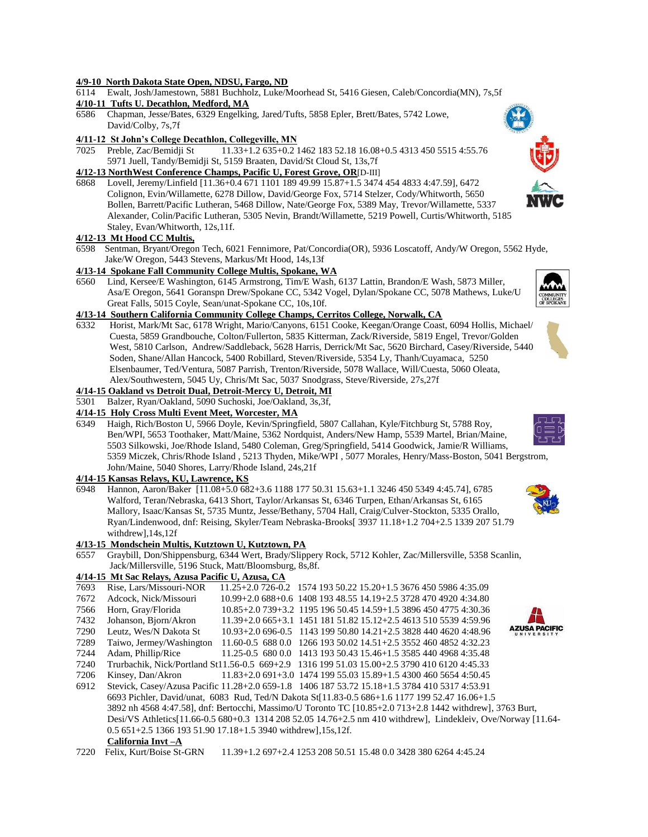#### **4/9-10 North Dakota State Open, NDSU, Fargo, ND**

6114 Ewalt, Josh/Jamestown, 5881 Buchholz, Luke/Moorhead St, 5416 Giesen, Caleb/Concordia(MN), 7s,5f

### **4/10-11 Tufts U. Decathlon, Medford, MA**

6586 Chapman, Jesse/Bates, 6329 Engelking, Jared/Tufts, 5858 Epler, Brett/Bates, 5742 Lowe, David/Colby, 7s,7f

### **4/11-12 St John's College Decathlon, Collegeville, MN**

7025 Preble, Zac/Bemidji St 11.33+1.2 635+0.2 1462 183 52.18 16.08+0.5 4313 450 5515 4:55.76 5971 Juell, Tandy/Bemidji St, 5159 Braaten, David/St Cloud St, 13s,7f

### **4/12-13 NorthWest Conference Champs, Pacific U, Forest Grove, OR**[D-III]

6868 Lovell, Jeremy/Linfield [11.36+0.4 671 1101 189 49.99 15.87+1.5 3474 454 4833 4:47.59], 6472 Colignon, Evin/Willamette, 6278 Dillow, David/George Fox, 5714 Stelzer, Cody/Whitworth, 5650 Bollen, Barrett/Pacific Lutheran, 5468 Dillow, Nate/George Fox, 5389 May, Trevor/Willamette, 5337 Alexander, Colin/Pacific Lutheran, 5305 Nevin, Brandt/Willamette, 5219 Powell, Curtis/Whitworth, 5185 Staley, Evan/Whitworth, 12s,11f.

#### **4/12-13 Mt Hood CC Multis,**

6598 Sentman, Bryant/Oregon Tech, 6021 Fennimore, Pat/Concordia(OR), 5936 Loscatoff, Andy/W Oregon, 5562 Hyde, Jake/W Oregon, 5443 Stevens, Markus/Mt Hood, 14s,13f

#### **4/13-14 Spokane Fall Community College Multis, Spokane, WA**

6560 Lind, Kersee/E Washington, 6145 Armstrong, Tim/E Wash, 6137 Lattin, Brandon/E Wash, 5873 Miller, Asa/E Oregon, 5641 Goranspn Drew/Spokane CC, 5342 Vogel, Dylan/Spokane CC, 5078 Mathews, Luke/U Great Falls, 5015 Coyle, Sean/unat-Spokane CC, 10s,10f.

### **4/13-14 Southern California Community College Champs, Cerritos College, Norwalk, CA**

6332 Horist, Mark/Mt Sac, 6178 Wright, Mario/Canyons, 6151 Cooke, Keegan/Orange Coast, 6094 Hollis, Michael/ Cuesta, 5859 Grandbouche, Colton/Fullerton, 5835 Kitterman, Zack/Riverside, 5819 Engel, Trevor/Golden West, 5810 Carlson, Andrew/Saddleback, 5628 Harris, Derrick/Mt Sac, 5620 Birchard, Casey/Riverside, 5440 Soden, Shane/Allan Hancock, 5400 Robillard, Steven/Riverside, 5354 Ly, Thanh/Cuyamaca, 5250 Elsenbaumer, Ted/Ventura, 5087 Parrish, Trenton/Riverside, 5078 Wallace, Will/Cuesta, 5060 Oleata, Alex/Southwestern, 5045 Uy, Chris/Mt Sac, 5037 Snodgrass, Steve/Riverside, 27s,27f

#### **4/14-15 Oakland vs Detroit Dual, Detroit-Mercy U, Detroit, MI**

5301 Balzer, Ryan/Oakland, 5090 Suchoski, Joe/Oakland, 3s,3f,

#### **4/14-15 Holy Cross Multi Event Meet, Worcester, MA**

6349 Haigh, Rich/Boston U, 5966 Doyle, Kevin/Springfield, 5807 Callahan, Kyle/Fitchburg St, 5788 Roy, Ben/WPI, 5653 Toothaker, Matt/Maine, 5362 Nordquist, Anders/New Hamp, 5539 Martel, Brian/Maine, 5503 Silkowski, Joe/Rhode Island, 5480 Coleman, Greg/Springfield, 5414 Goodwick, Jamie/R Williams, 5359 Miczek, Chris/Rhode Island , 5213 Thyden, Mike/WPI , 5077 Morales, Henry/Mass-Boston, 5041 Bergstrom, John/Maine, 5040 Shores, Larry/Rhode Island, 24s,21f

#### **4/14-15 Kansas Relays, KU, Lawrence, KS**

6948 Hannon, Aaron/Baker [11.08+5.0 682+3.6 1188 177 50.31 15.63+1.1 3246 450 5349 4:45.74], 6785 Walford, Teran/Nebraska, 6413 Short, Taylor/Arkansas St, 6346 Turpen, Ethan/Arkansas St, 6165 Mallory, Isaac/Kansas St, 5735 Muntz, Jesse/Bethany, 5704 Hall, Craig/Culver-Stockton, 5335 Orallo, Ryan/Lindenwood, dnf: Reising, Skyler/Team Nebraska-Brooks[ 3937 11.18+1.2 704+2.5 1339 207 51.79 withdrew],14s,12f

#### **4/13-15 Mondschein Multis, Kutztown U, Kutztown, PA**

6557 Graybill, Don/Shippensburg, 6344 Wert, Brady/Slippery Rock, 5712 Kohler, Zac/Millersville, 5358 Scanlin, Jack/Millersville, 5196 Stuck, Matt/Bloomsburg, 8s,8f.

#### **4/14-15 Mt Sac Relays, Azusa Pacific U, Azusa, CA**

| 7693 | Rise, Lars/Missouri-NOR                                    | 11.25+2.0 726-0.2 1574 193 50.22 15.20+1.5 3676 450 5986 4:35.09                                              |
|------|------------------------------------------------------------|---------------------------------------------------------------------------------------------------------------|
| 7672 | Adcock, Nick/Missouri                                      | 10.99+2.0 688+0.6 1408 193 48.55 14.19+2.5 3728 470 4920 4:34.80                                              |
| 7566 | Horn, Gray/Florida                                         | 10.85+2.0 739+3.2 1195 196 50.45 14.59+1.5 3896 450 4775 4:30.36                                              |
| 7432 | Johanson, Bjorn/Akron                                      | $11.39+2.0665+3.1145118151.8215.12+2.5461351055394.59.96$                                                     |
| 7290 | Leutz. Wes/N Dakota St                                     | <b>AZUSA PACIFIC</b><br>$10.93+2.0696-0.5$ 1143 199 50.80 14.21+2.5 3828 440 4620 4:48.96                     |
| 7289 | Taiwo, Jermey/Washington                                   | 11.60-0.5 688 0.0 1266 193 50.02 14.51+2.5 3552 460 4852 4:32.23                                              |
| 7244 | Adam, Phillip/Rice                                         | 11.25-0.5 680 0.0 1413 193 50.43 15.46+1.5 3585 440 4968 4:35.48                                              |
| 7240 |                                                            | Trurbachik, Nick/Portland St11.56-0.5 669+2.9 1316 199 51.03 15.00+2.5 3790 410 6120 4:45.33                  |
| 7206 | Kinsey, Dan/Akron                                          | 11.83+2.0 691+3.0 1474 199 55.03 15.89+1.5 4300 460 5654 4:50.45                                              |
| 6912 |                                                            | Stevick, Casey/Azusa Pacific 11.28+2.0 659-1.8 1406 187 53.72 15.18+1.5 3784 410 5317 4:53.91                 |
|      |                                                            | 6693 Pichler, David/unat, 6083 Rud, Ted/N Dakota St[11.83-0.5 686+1.6 1177 199 52.47 16.06+1.5                |
|      |                                                            | 3892 nh 4568 4:47.58], dnf: Bertocchi, Massimo/U Toronto TC [10.85+2.0 713+2.8 1442 withdrew], 3763 Burt,     |
|      |                                                            | Desi/VS Athletics[11.66-0.5 680+0.3 1314 208 52.05 14.76+2.5 nm 410 withdrew], Lindekleiv, Ove/Norway [11.64- |
|      | $0.5651+2.5136619351.9017.18+1.53940$ withdrew], 15s, 12f. |                                                                                                               |
|      | California Invt-A                                          |                                                                                                               |
| 7220 | Felix, Kurt/Boise St-GRN                                   | 11.39+1.2 697+2.4 1253 208 50.51 15.48 0.0 3428 380 6264 4:45.24                                              |





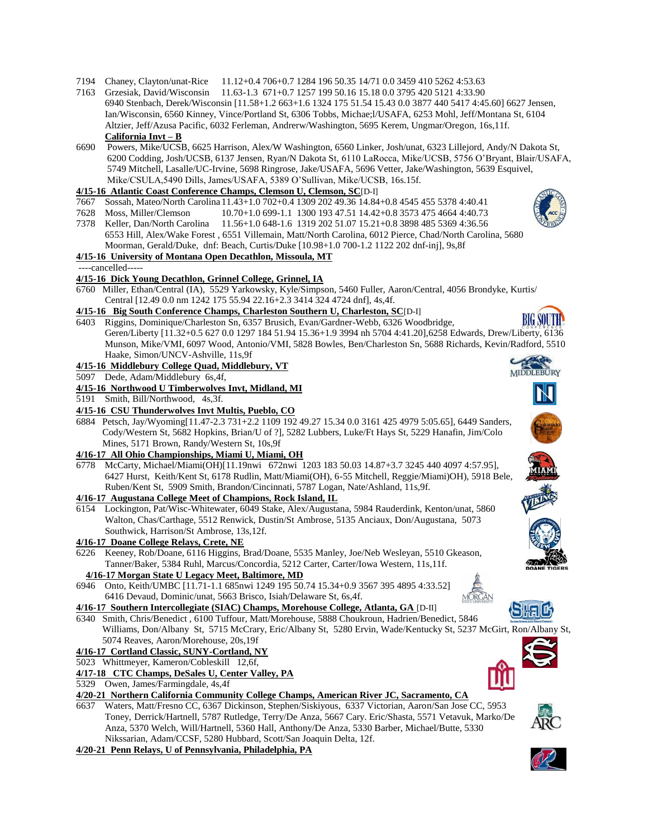- 7194 Chaney, Clayton/unat-Rice 11.12+0.4 706+0.7 1284 196 50.35 14/71 0.0 3459 410 5262 4:53.63
- 7163 Grzesiak, David/Wisconsin 11.63-1.3 671+0.7 1257 199 50.16 15.18 0.0 3795 420 5121 4:33.90 6940 Stenbach, Derek/Wisconsin [11.58+1.2 663+1.6 1324 175 51.54 15.43 0.0 3877 440 5417 4:45.60] 6627 Jensen, Ian/Wisconsin, 6560 Kinney, Vince/Portland St, 6306 Tobbs, Michae;l/USAFA, 6253 Mohl, Jeff/Montana St, 6104 Altzier, Jeff/Azusa Pacific, 6032 Ferleman, Andrerw/Washington, 5695 Kerem, Ungmar/Oregon, 16s,11f. **California Invt – B**
- 6690 Powers, Mike/UCSB, 6625 Harrison, Alex/W Washington, 6560 Linker, Josh/unat, 6323 Lillejord, Andy/N Dakota St, 6200 Codding, Josh/UCSB, 6137 Jensen, Ryan/N Dakota St, 6110 LaRocca, Mike/UCSB, 5756 O'Bryant, Blair/USAFA, 5749 Mitchell, Lasalle/UC-Irvine, 5698 Ringrose, Jake/USAFA, 5696 Vetter, Jake/Washington, 5639 Esquivel, Mike/CSULA,5490 Dills, James/USAFA, 5389 O'Sullivan, Mike/UCSB, 16s.15f.

# **4/15-16 Atlantic Coast Conference Champs, Clemson U, Clemson, SC**[D-I]

- 7667 Sossah, Mateo/North Carolina 11.43+1.0 702+0.4 1309 202 49.36 14.84+0.8 4545 455 5378 4:40.41
- 7628 Moss, Miller/Clemson 10.70+1.0 699-1.1 1300 193 47.51 14.42+0.8 3573 475 4664 4:40.73
- 7378 Keller, Dan/North Carolina 11.56+1.0 648-1.6 1319 202 51.07 15.21+0.8 3898 485 5369 4:36.56 6553 Hill, Alex/Wake Forest , 6551 Villemain, Matt/North Carolina, 6012 Pierce, Chad/North Carolina, 5680 Moorman, Gerald/Duke, dnf: Beach, Curtis/Duke [10.98+1.0 700-1.2 1122 202 dnf-inj], 9s,8f

# **4/15-16 University of Montana Open Decathlon, Missoula, MT**

- ----cancelled-----
- **4/15-16 Dick Young Decathlon, Grinnel College, Grinnel, IA**
- 6760 Miller, Ethan/Central (IA), 5529 Yarkowsky, Kyle/Simpson, 5460 Fuller, Aaron/Central, 4056 Brondyke, Kurtis/ Central [12.49 0.0 nm 1242 175 55.94 22.16+2.3 3414 324 4724 dnf], 4s,4f.

# **4/15-16 Big South Conference Champs, Charleston Southern U, Charleston, SC**[D-I]

6403 Riggins, Dominique/Charleston Sn, 6357 Brusich, Evan/Gardner-Webb, 6326 Woodbridge, Geren/Liberty [11.32+0.5 627 0.0 1297 184 51.94 15.36+1.9 3994 nh 5704 4:41.20],6258 Edwards, Drew/Liberty, 6136 Munson, Mike/VMI, 6097 Wood, Antonio/VMI, 5828 Bowles, Ben/Charleston Sn, 5688 Richards, Kevin/Radford, 5510 Haake, Simon/UNCV-Ashville, 11s,9f

# **4/15-16 Middlebury College Quad, Middlebury, VT**

5097 Dede, Adam/Middlebury 6s,4f,

# **4/15-16 Northwood U Timberwolves Invt, Midland, MI**

5191 Smith, Bill/Northwood, 4s,3f.

# **4/15-16 CSU Thunderwolves Invt Multis, Pueblo, CO**

6884 Petsch, Jay/Wyoming[11.47-2.3 731+2.2 1109 192 49.27 15.34 0.0 3161 425 4979 5:05.65], 6449 Sanders, Cody/Western St, 5682 Hopkins, Brian/U of ?], 5282 Lubbers, Luke/Ft Hays St, 5229 Hanafin, Jim/Colo Mines, 5171 Brown, Randy/Western St, 10s,9f

# **4/16-17 All Ohio Championships, Miami U, Miami, OH**

6778 McCarty, Michael/Miami(OH)[11.19nwi 672nwi 1203 183 50.03 14.87+3.7 3245 440 4097 4:57.95], 6427 Hurst, Keith/Kent St, 6178 Rudlin, Matt/Miami(OH), 6-55 Mitchell, Reggie/Miami)OH), 5918 Bele, Ruben/Kent St, 5909 Smith, Brandon/Cincinnati, 5787 Logan, Nate/Ashland, 11s,9f.

# **4/16-17 Augustana College Meet of Champions, Rock Island, IL**

6154 Lockington, Pat/Wisc-Whitewater, 6049 Stake, Alex/Augustana, 5984 Rauderdink, Kenton/unat, 5860 Walton, Chas/Carthage, 5512 Renwick, Dustin/St Ambrose, 5135 Anciaux, Don/Augustana, 5073 Southwick, Harrison/St Ambrose, 13s,12f.

# **4/16-17 Doane College Relays, Crete, NE**

6226 Keeney, Rob/Doane, 6116 Higgins, Brad/Doane, 5535 Manley, Joe/Neb Wesleyan, 5510 Gkeason, Tanner/Baker, 5384 Ruhl, Marcus/Concordia, 5212 Carter, Carter/Iowa Western, 11s,11f.

# **4/16-17 Morgan State U Legacy Meet, Baltimore, MD**

6946 Onto, Keith/UMBC [11.71-1.1 685nwi 1249 195 50.74 15.34+0.9 3567 395 4895 4:33.52] 6416 Devaud, Dominic/unat, 5663 Brisco, Isiah/Delaware St, 6s,4f.

- **4/16-17 Southern Intercollegiate (SIAC) Champs, Morehouse College, Atlanta, GA** [D-II]
- 6340 Smith, Chris/Benedict , 6100 Tuffour, Matt/Morehouse, 5888 Choukroun, Hadrien/Benedict, 5846 Williams, Don/Albany St, 5715 McCrary, Eric/Albany St, 5280 Ervin, Wade/Kentucky St, 5237 McGirt, Ron/Albany St, 5074 Reaves, Aaron/Morehouse, 20s,19f

# **4/16-17 Cortland Classic, SUNY-Cortland, NY**

5023 Whittmeyer, Kameron/Cobleskill 12,6f,

# **4/17-18 CTC Champs, DeSales U, Center Valley, PA**

5329 Owen, James/Farmingdale, 4s,4f

# **4/20-21 Northern California Community College Champs, American River JC, Sacramento, CA**

6637 Waters, Matt/Fresno CC, 6367 Dickinson, Stephen/Siskiyous, 6337 Victorian, Aaron/San Jose CC, 5953 Toney, Derrick/Hartnell, 5787 Rutledge, Terry/De Anza, 5667 Cary. Eric/Shasta, 5571 Vetavuk, Marko/De Anza, 5370 Welch, Will/Hartnell, 5360 Hall, Anthony/De Anza, 5330 Barber, Michael/Butte, 5330 Nikssarian, Adam/CCSF, 5280 Hubbard, Scott/San Joaquin Delta, 12f.

# **4/20-21 Penn Relays, U of Pennsylvania, Philadelphia, PA**









**MIDDLEBURY** 













# SH:IL

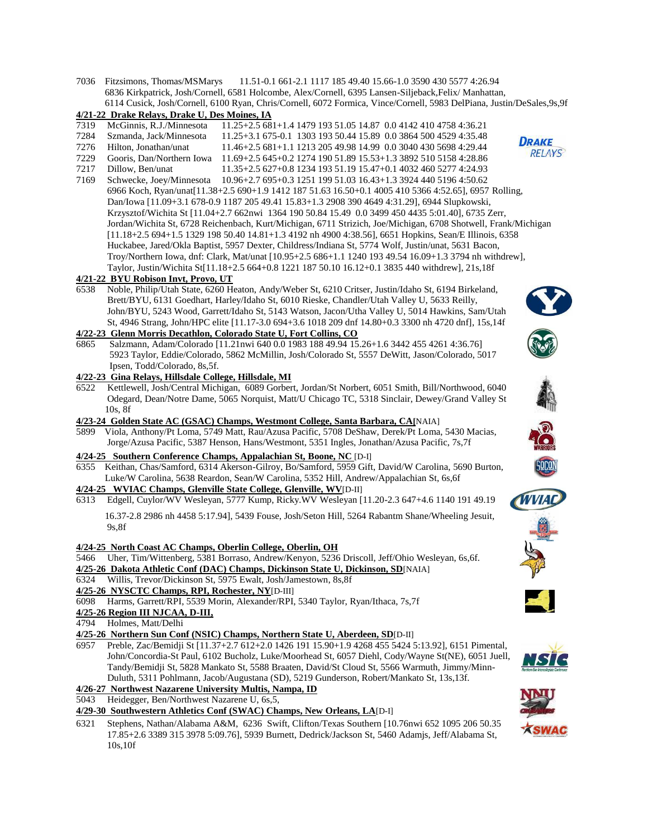7036 Fitzsimons, Thomas/MSMarys 11.51-0.1 661-2.1 1117 185 49.40 15.66-1.0 3590 430 5577 4:26.94 6836 Kirkpatrick, Josh/Cornell, 6581 Holcombe, Alex/Cornell, 6395 Lansen-Siljeback,Felix/ Manhattan, 6114 Cusick, Josh/Cornell, 6100 Ryan, Chris/Cornell, 6072 Formica, Vince/Cornell, 5983 DelPiana, Justin/DeSales,9s,9f

### **4/21-22 Drake Relays, Drake U, Des Moines, IA**

- 7319 McGinnis, R.J./Minnesota 11.25+2.5 681+1.4 1479 193 51.05 14.87 0.0 4142 410 4758 4:36.21
- 7284 Szmanda, Jack/Minnesota 11.25+3.1 675-0.1 1303 193 50.44 15.89 0.0 3864 500 4529 4:35.48
- 7276 Hilton, Jonathan/unat 11.46+2.5 681+1.1 1213 205 49.98 14.99 0.0 3040 430 5698 4:29.44 7229 Gooris, Dan/Northern Iowa 11.69+2.5 645+0.2 1274 190 51.89 15.53+1.3 3892 510 5158 4:28.86
- 7217 Dillow, Ben/unat 11.35+2.5 627+0.8 1234 193 51.19 15.47+0.1 4032 460 5277 4:24.93
- 7169 Schwecke, Joey/Minnesota 10.96+2.7 695+0.3 1251 199 51.03 16.43+1.3 3924 440 5196 4:50.62 6966 Koch, Ryan/unat[11.38+2.5 690+1.9 1412 187 51.63 16.50+0.1 4005 410 5366 4:52.65], 6957 Rolling, Dan/Iowa [11.09+3.1 678-0.9 1187 205 49.41 15.83+1.3 2908 390 4649 4:31.29], 6944 Slupkowski, Krzysztof/Wichita St [11.04+2.7 662nwi 1364 190 50.84 15.49 0.0 3499 450 4435 5:01.40], 6735 Zerr, Jordan/Wichita St, 6728 Reichenbach, Kurt/Michigan, 6711 Strizich, Joe/Michigan, 6708 Shotwell, Frank/Michigan [11.18+2.5 694+1.5 1329 198 50.40 14.81+1.3 4192 nh 4900 4:38.56], 6651 Hopkins, Sean/E Illinois, 6358 Huckabee, Jared/Okla Baptist, 5957 Dexter, Childress/Indiana St, 5774 Wolf, Justin/unat, 5631 Bacon, Troy/Northern Iowa, dnf: Clark, Mat/unat [10.95+2.5 686+1.1 1240 193 49.54 16.09+1.3 3794 nh withdrew], Taylor, Justin/Wichita St[11.18+2.5 664+0.8 1221 187 50.10 16.12+0.1 3835 440 withdrew], 21s,18f

### **4/21-22 BYU Robison Invt, Provo, UT**

6538 Noble, Philip/Utah State, 6260 Heaton, Andy/Weber St, 6210 Critser, Justin/Idaho St, 6194 Birkeland, Brett/BYU, 6131 Goedhart, Harley/Idaho St, 6010 Rieske, Chandler/Utah Valley U, 5633 Reilly, John/BYU, 5243 Wood, Garrett/Idaho St, 5143 Watson, Jacon/Utha Valley U, 5014 Hawkins, Sam/Utah St, 4946 Strang, John/HPC elite [11.17-3.0 694+3.6 1018 209 dnf 14.80+0.3 3300 nh 4720 dnf], 15s,14f

# **4/22-23 Glenn Morris Decathlon, Colorado State U, Fort Collins, CO**

- 6865 Salzmann, Adam/Colorado [11.21nwi 640 0.0 1983 188 49.94 15.26+1.6 3442 455 4261 4:36.76] 5923 Taylor, Eddie/Colorado, 5862 McMillin, Josh/Colorado St, 5557 DeWitt, Jason/Colorado, 5017 Ipsen, Todd/Colorado, 8s,5f.
- **4/22-23 Gina Relays, Hillsdale College, Hillsdale, MI**
- 6522 Kettlewell, Josh/Central Michigan, 6089 Gorbert, Jordan/St Norbert, 6051 Smith, Bill/Northwood, 6040 Odegard, Dean/Notre Dame, 5065 Norquist, Matt/U Chicago TC, 5318 Sinclair, Dewey/Grand Valley St 10s, 8f

#### **4/23-24 Golden State AC (GSAC) Champs, Westmont College, Santa Barbara, CA[**NAIA]

5899 Viola, Anthony/Pt Loma, 5749 Matt, Rau/Azusa Pacific, 5708 DeShaw, Derek/Pt Loma, 5430 Macias, Jorge/Azusa Pacific, 5387 Henson, Hans/Westmont, 5351 Ingles, Jonathan/Azusa Pacific, 7s,7f

### **4/24-25 Southern Conference Champs, Appalachian St, Boone, NC** [D-I]

- 6355 Keithan, Chas/Samford, 6314 Akerson-Gilroy, Bo/Samford, 5959 Gift, David/W Carolina, 5690 Burton, Luke/W Carolina, 5638 Reardon, Sean/W Carolina, 5352 Hill, Andrew/Appalachian St, 6s,6f
- **4/24-25 WVIAC Champs, Glenville State College, Glenville, WV**[D-II]
- 6313 Edgell, Cuylor/WV Wesleyan, 5777 Kump, Ricky.WV Wesleyan [11.20-2.3 647+4.6 1140 191 49.19 16.37-2.8 2986 nh 4458 5:17.94], 5439 Fouse, Josh/Seton Hill, 5264 Rabantm Shane/Wheeling Jesuit, 9s,8f

#### **4/24-25 North Coast AC Champs, Oberlin College, Oberlin, OH**

- 5466 Uher, Tim/Wittenberg, 5381 Borraso, Andrew/Kenyon, 5236 Driscoll, Jeff/Ohio Wesleyan, 6s,6f. **4/25-26 Dakota Athletic Conf (DAC) Champs, Dickinson State U, Dickinson, SD**[NAIA]
- 6324 Willis, Trevor/Dickinson St, 5975 Ewalt, Josh/Jamestown, 8s,8f
- **4/25-26 NYSCTC Champs, RPI, Rochester, NY**[D-III]

6098 Harms, Garrett/RPI, 5539 Morin, Alexander/RPI, 5340 Taylor, Ryan/Ithaca, 7s,7f

- **4/25-26 Region III NJCAA, D-III,**
- 4794 Holmes, Matt/Delhi

### **4/25-26 Northern Sun Conf (NSIC) Champs, Northern State U, Aberdeen, SD**[D-II]

6957 Preble, Zac/Bemidji St [11.37+2.7 612+2.0 1426 191 15.90+1.9 4268 455 5424 5:13.92], 6151 Pimental, John/Concordia-St Paul, 6102 Bucholz, Luke/Moorhead St, 6057 Diehl, Cody/Wayne St(NE), 6051 Juell, Tandy/Bemidji St, 5828 Mankato St, 5588 Braaten, David/St Cloud St, 5566 Warmuth, Jimmy/Minn- Duluth, 5311 Pohlmann, Jacob/Augustana (SD), 5219 Gunderson, Robert/Mankato St, 13s,13f.

### **4/26-27 Northwest Nazarene University Multis, Nampa, ID**

- 5043 Heidegger, Ben/Northwest Nazarene U, 6s,5,
- **4/29-30 Southwestern Athletics Conf (SWAC) Champs, New Orleans, LA**[D-I]
- 6321 Stephens, Nathan/Alabama A&M, 6236 Swift, Clifton/Texas Southern [10.76nwi 652 1095 206 50.35 17.85+2.6 3389 315 3978 5:09.76], 5939 Burnett, Dedrick/Jackson St, 5460 Adamjs, Jeff/Alabama St, 10s,10f



















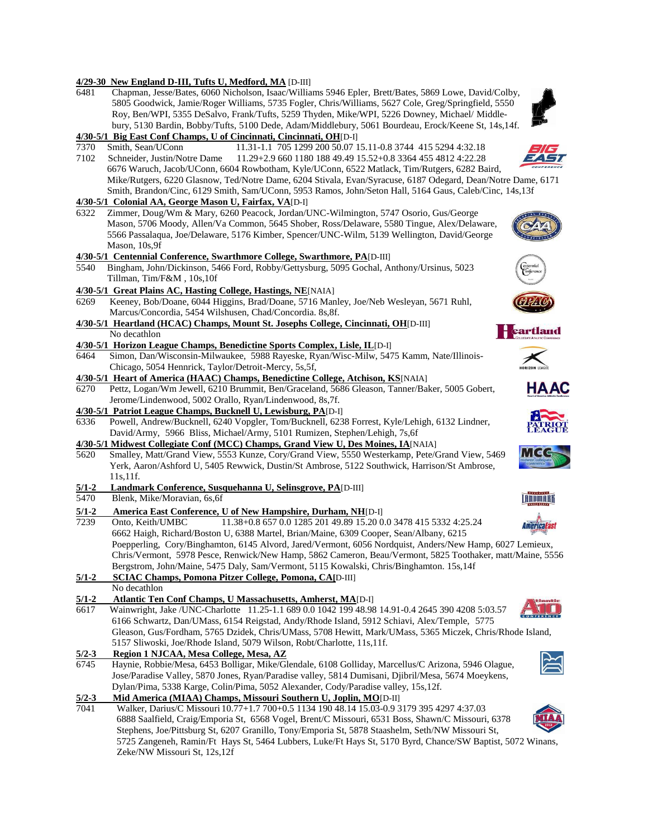### **4/29-30 New England D-III, Tufts U, Medford, MA** [D-III]

6481 Chapman, Jesse/Bates, 6060 Nicholson, Isaac/Williams 5946 Epler, Brett/Bates, 5869 Lowe, David/Colby, 5805 Goodwick, Jamie/Roger Williams, 5735 Fogler, Chris/Williams, 5627 Cole, Greg/Springfield, 5550 Roy, Ben/WPI, 5355 DeSalvo, Frank/Tufts, 5259 Thyden, Mike/WPI, 5226 Downey, Michael/ Middle bury, 5130 Bardin, Bobby/Tufts, 5100 Dede, Adam/Middlebury, 5061 Bourdeau, Erock/Keene St, 14s,14f. **4/30-5/1 Big East Conf Champs, U of Cincinnati, Cincinnati, OH**[D-I] 7370 Smith, Sean/UConn 11.31-1.1 705 1299 200 50.07 15.11-0.8 3744 415 5294 4:32.18 7102 Schneider, Justin/Notre Dame 11.29+2.9 660 1180 188 49.49 15.52+0.8 3364 455 4812 4:22.28 6676 Waruch, Jacob/UConn, 6604 Rowbotham, Kyle/UConn, 6522 Matlack, Tim/Rutgers, 6282 Baird, Mike/Rutgers, 6220 Glasnow, Ted/Notre Dame, 6204 Stivala, Evan/Syracuse, 6187 Odegard, Dean/Notre Dame, 6171 Smith, Brandon/Cinc, 6129 Smith, Sam/UConn, 5953 Ramos, John/Seton Hall, 5164 Gaus, Caleb/Cinc, 14s,13f **4/30-5/1 Colonial AA, George Mason U, Fairfax, VA**[D-I] 6322 Zimmer, Doug/Wm & Mary, 6260 Peacock, Jordan/UNC-Wilmington, 5747 Osorio, Gus/George Mason, 5706 Moody, Allen/Va Common, 5645 Shober, Ross/Delaware, 5580 Tingue, Alex/Delaware, 5566 Passalaqua, Joe/Delaware, 5176 Kimber, Spencer/UNC-Wilm, 5139 Wellington, David/George Mason, 10s,9f **4/30-5/1 Centennial Conference, Swarthmore College, Swarthmore, PA**[D-III] 5540 Bingham, John/Dickinson, 5466 Ford, Robby/Gettysburg, 5095 Gochal, Anthony/Ursinus, 5023 Tillman, Tim/F&M , 10s,10f **4/30-5/1 Great Plains AC, Hasting College, Hastings, NE**[NAIA] 6269 Keeney, Bob/Doane, 6044 Higgins, Brad/Doane, 5716 Manley, Joe/Neb Wesleyan, 5671 Ruhl, Marcus/Concordia, 5454 Wilshusen, Chad/Concordia. 8s,8f. **4/30-5/1 Heartland (HCAC) Champs, Mount St. Josephs College, Cincinnati, OH**[D-III] **Heartland**  No decathlon **4/30-5/1 Horizon League Champs, Benedictine Sports Complex, Lisle, IL**[D-I] 6464 Simon, Dan/Wisconsin-Milwaukee, 5988 Rayeske, Ryan/Wisc-Milw, 5475 Kamm, Nate/Illinois- Chicago, 5054 Hennrick, Taylor/Detroit-Mercy, 5s,5f, **4/30-5/1 Heart of America (HAAC) Champs, Benedictine College, Atchison, KS**[NAIA] **HAAC** 6270 Pettz, Logan/Wm Jewell, 6210 Brummit, Ben/Graceland, 5686 Gleason, Tanner/Baker, 5005 Gobert, Jerome/Lindenwood, 5002 Orallo, Ryan/Lindenwood, 8s,7f. **4/30-5/1 Patriot League Champs, Bucknell U, Lewisburg, PA**[D-I] 6336 Powell, Andrew/Bucknell, 6240 Vopgler, Tom/Bucknell, 6238 Forrest, Kyle/Lehigh, 6132 Lindner, David/Army, 5966 Bliss, Michael/Army, 5101 Rumizen, Stephen/Lehigh, 7s,6f **4/30-5/1 Midwest Collegiate Conf (MCC) Champs, Grand View U, Des Moines, IA**[NAIA] 5620 Smalley, Matt/Grand View, 5553 Kunze, Cory/Grand View, 5550 Westerkamp, Pete/Grand View, 5469 Yerk, Aaron/Ashford U, 5405 Rewwick, Dustin/St Ambrose, 5122 Southwick, Harrison/St Ambrose, 11s,11f. **5/1-2 Landmark Conference, Susquehanna U, Selinsgrove, PA**[D-III] 5470 Blenk, Mike/Moravian, 6s,6f **LANDMARK 5/1-2 America East Conference, U of New Hampshire, Durham, NH**[D-I]<br> **7239** Onto, Keith/UMBC 11.38+0.8 657 0.0 1285 201 49.89 15.20 0 11.38+0.8 657 0.0 1285 201 49.89 15.20 0.0 3478 415 5332 4:25.24 Americal ast 6662 Haigh, Richard/Boston U, 6388 Martel, Brian/Maine, 6309 Cooper, Sean/Albany, 6215 Poepperling, Cory/Binghamton, 6145 Alvord, Jared/Vermont, 6056 Nordquist, Anders/New Hamp, 6027 Lemieux, Chris/Vermont, 5978 Pesce, Renwick/New Hamp, 5862 Cameron, Beau/Vermont, 5825 Toothaker, matt/Maine, 5556 Bergstrom, John/Maine, 5475 Daly, Sam/Vermont, 5115 Kowalski, Chris/Binghamton. 15s,14f **5/1-2 SCIAC Champs, Pomona Pitzer College, Pomona, CA[**D-III] No decathlon **5/1-2 Atlantic Ten Conf Champs, U Massachusetts, Amherst, MA**[D-I] 6617 Wainwright, Jake /UNC-Charlotte 11.25-1.1 689 0.0 1042 199 48.98 14.91-0.4 2645 390 4208 5:03.57 6166 Schwartz, Dan/UMass, 6154 Reigstad, Andy/Rhode Island, 5912 Schiavi, Alex/Temple, 5775 Gleason, Gus/Fordham, 5765 Dzidek, Chris/UMass, 5708 Hewitt, Mark/UMass, 5365 Miczek, Chris/Rhode Island, 5157 Sliwoski, Joe/Rhode Island, 5079 Wilson, Robt/Charlotte, 11s,11f. **5/2-3 Region 1 NJCAA, Mesa College, Mesa, AZ** 6745 Haynie, Robbie/Mesa, 6453 Bolligar, Mike/Glendale, 6108 Golliday, Marcellus/C Arizona, 5946 Olague, Jose/Paradise Valley, 5870 Jones, Ryan/Paradise valley, 5814 Dumisani, Djibril/Mesa, 5674 Moeykens, Dylan/Pima, 5338 Karge, Colin/Pima, 5052 Alexander, Cody/Paradise valley, 15s,12f. **5/2-3 Mid America (MIAA) Champs, Missouri Southern U, Joplin, MO**[D-II]<br>7041 Walker, Darius/C Missouri 10.77+1.7 700+0.5 1134 190 48.14 15.03-0.9 3 7041 Walker, Darius/C Missouri 10.77+1.7 700+0.5 1134 190 48.14 15.03-0.9 3179 395 4297 4:37.03 6888 Saalfield, Craig/Emporia St, 6568 Vogel, Brent/C Missouri, 6531 Boss, Shawn/C Missouri, 6378 Stephens, Joe/Pittsburg St, 6207 Granillo, Tony/Emporia St, 5878 Staashelm, Seth/NW Missouri St, 5725 Zangeneh, Ramin/Ft Hays St, 5464 Lubbers, Luke/Ft Hays St, 5170 Byrd, Chance/SW Baptist, 5072 Winans, Zeke/NW Missouri St, 12s,12f



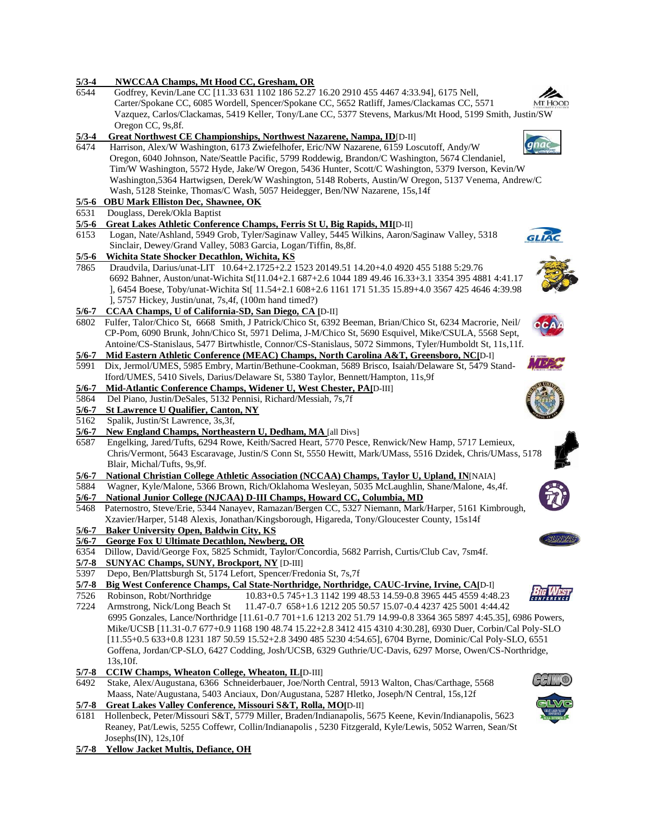| $5/3 - 4$        | NWCCAA Champs, Mt Hood CC, Gresham, OR                                                                                                               |
|------------------|------------------------------------------------------------------------------------------------------------------------------------------------------|
| 6544             | Godfrey, Kevin/Lane CC [11.33 631 1102 186 52.27 16.20 2910 455 4467 4:33.94], 6175 Nell,                                                            |
|                  | Carter/Spokane CC, 6085 Wordell, Spencer/Spokane CC, 5652 Ratliff, James/Clackamas CC, 5571<br>Mt. Hood                                              |
|                  | Vazquez, Carlos/Clackamas, 5419 Keller, Tony/Lane CC, 5377 Stevens, Markus/Mt Hood, 5199 Smith, Justin/SW                                            |
|                  | Oregon CC, 9s, 8f.                                                                                                                                   |
| $5/3 - 4$        | Great Northwest CE Championships, Northwest Nazarene, Nampa, ID[D-II]                                                                                |
| 6474             | Harrison, Alex/W Washington, 6173 Zwiefelhofer, Eric/NW Nazarene, 6159 Loscutoff, Andy/W                                                             |
|                  | Oregon, 6040 Johnson, Nate/Seattle Pacific, 5799 Roddewig, Brandon/C Washington, 5674 Clendaniel,                                                    |
|                  | Tim/W Washington, 5572 Hyde, Jake/W Oregon, 5436 Hunter, Scott/C Washington, 5379 Iverson, Kevin/W                                                   |
|                  | Washington, 5364 Hartwigsen, Derek/W Washington, 5148 Roberts, Austin/W Oregon, 5137 Venema, Andrew/C                                                |
|                  | Wash, 5128 Steinke, Thomas/C Wash, 5057 Heidegger, Ben/NW Nazarene, 15s, 14f                                                                         |
|                  | 5/5-6 OBU Mark Elliston Dec, Shawnee, OK                                                                                                             |
| 6531             | Douglass, Derek/Okla Baptist                                                                                                                         |
| $5/5 - 6$        | Great Lakes Athletic Conference Champs, Ferris St U, Big Rapids, MI[D-II]                                                                            |
| 6153             | Logan, Nate/Ashland, 5949 Grob, Tyler/Saginaw Valley, 5445 Wilkins, Aaron/Saginaw Valley, 5318                                                       |
|                  | Sinclair, Dewey/Grand Valley, 5083 Garcia, Logan/Tiffin, 8s, 8f.                                                                                     |
| $5/5 - 6$        | Wichita State Shocker Decathlon, Wichita, KS                                                                                                         |
| 7865             | Draudvila, Darius/unat-LIT 10.64+2.1725+2.2 1523 20149.51 14.20+4.0 4920 455 5188 5:29.76                                                            |
|                  | 6692 Bahner, Auston/unat-Wichita St[11.04+2.1 687+2.6 1044 189 49.46 16.33+3.1 3354 395 4881 4:41.17                                                 |
|                  | J, 6454 Boese, Toby/unat-Wichita St[ 11.54+2.1 608+2.6 1161 171 51.35 15.89+4.0 3567 425 4646 4:39.98                                                |
|                  | ], 5757 Hickey, Justin/unat, 7s, 4f, (100m hand timed?)                                                                                              |
| $5/6 - 7$        | CCAA Champs, U of California-SD, San Diego, CA [D-II]                                                                                                |
| 6802             | Fulfer, Talor/Chico St, 6668 Smith, J Patrick/Chico St, 6392 Beeman, Brian/Chico St, 6234 Macrorie, Neil/                                            |
|                  | CP-Pom, 6090 Brunk, John/Chico St, 5971 Delima, J-M/Chico St, 5690 Esquivel, Mike/CSULA, 5568 Sept,                                                  |
|                  | Antoine/CS-Stanislaus, 5477 Birtwhistle, Connor/CS-Stanislaus, 5072 Simmons, Tyler/Humboldt St, 11s,11f.                                             |
| $5/6 - 7$        | Mid Eastern Athletic Conference (MEAC) Champs, North Carolina A&T, Greensboro, NC[D-I]                                                               |
| 5991             | Dix, Jermol/UMES, 5985 Embry, Martin/Bethune-Cookman, 5689 Brisco, Isaiah/Delaware St, 5479 Stand-                                                   |
|                  | Iford/UMES, 5410 Sivels, Darius/Delaware St, 5380 Taylor, Bennett/Hampton, 11s, 9f                                                                   |
| $5/6 - 7$        | Mid-Atlantic Conference Champs, Widener U, West Chester, PA[D-III]                                                                                   |
| 5864             | Del Piano, Justin/DeSales, 5132 Pennisi, Richard/Messiah, 7s,7f                                                                                      |
| $5/6 - 7$        | St Lawrence U Qualifier, Canton, NY                                                                                                                  |
| 5162             | Spalik, Justin/St Lawrence, 3s,3f,                                                                                                                   |
| $\frac{5}{6}$ -7 | New England Champs, Northeastern U, Dedham, MA [all Divs]                                                                                            |
| 6587             | Engelking, Jared/Tufts, 6294 Rowe, Keith/Sacred Heart, 5770 Pesce, Renwick/New Hamp, 5717 Lemieux,                                                   |
|                  | Chris/Vermont, 5643 Escaravage, Justin/S Conn St, 5550 Hewitt, Mark/UMass, 5516 Dzidek, Chris/UMass, 5178                                            |
|                  | Blair, Michal/Tufts, 9s,9f.                                                                                                                          |
| $5/6 - 7$        | National Christian College Athletic Association (NCCAA) Champs, Taylor U, Upland, IN[NAIA]                                                           |
| 5884             | Wagner, Kyle/Malone, 5366 Brown, Rich/Oklahoma Wesleyan, 5035 McLaughlin, Shane/Malone, 4s,4f.                                                       |
| $5/6 - 7$        | National Junior College (NJCAA) D-III Champs, Howard CC, Columbia, MD                                                                                |
| 5468             | Paternostro, Steve/Erie, 5344 Nanayev, Ramazan/Bergen CC, 5327 Niemann, Mark/Harper, 5161 Kimbrough,                                                 |
|                  | Xzavier/Harper, 5148 Alexis, Jonathan/Kingsborough, Higareda, Tony/Gloucester County, 15s14f                                                         |
| $5/6 - 7$        | <b>Baker University Open, Baldwin City, KS</b><br><b>UNYZA</b>                                                                                       |
| $5/6 - 7$        | <b>George Fox U Ultimate Decathlon, Newberg, OR</b>                                                                                                  |
| 6354<br>5/7-8    | Dillow, David/George Fox, 5825 Schmidt, Taylor/Concordia, 5682 Parrish, Curtis/Club Cav, 7sm4f.<br><b>SUNYAC Champs, SUNY, Brockport, NY [D-III]</b> |
| 5397             | Depo, Ben/Plattsburgh St, 5174 Lefort, Spencer/Fredonia St, 7s,7f                                                                                    |
| $5/7 - 8$        | Big West Conference Champs, Cal State-Northridge, Northridge, CAUC-Irvine, Irvine, CA[D-I]                                                           |
| 7526             | Robinson, Robt/Northridge<br>10.83+0.5 745+1.3 1142 199 48.53 14.59-0.8 3965 445 4559 4:48.23                                                        |
| 7224             | Armstrong, Nick/Long Beach St<br>11.47-0.7 658+1.6 1212 205 50.57 15.07-0.4 4237 425 5001 4:44.42                                                    |
|                  | 6995 Gonzales, Lance/Northridge [11.61-0.7 701+1.6 1213 202 51.79 14.99-0.8 3364 365 5897 4:45.35], 6986 Powers,                                     |
|                  | Mike/UCSB [11.31-0.7 677+0.9 1168 190 48.74 15.22+2.8 3412 415 4310 4:30.28], 6930 Duer, Corbin/Cal Poly-SLO                                         |
|                  | [11.55+0.5 633+0.8 1231 187 50.59 15.52+2.8 3490 485 5230 4:54.65], 6704 Byrne, Dominic/Cal Poly-SLO, 6551                                           |
|                  | Goffena, Jordan/CP-SLO, 6427 Codding, Josh/UCSB, 6329 Guthrie/UC-Davis, 6297 Morse, Owen/CS-Northridge,                                              |
|                  | 13s, 10f.                                                                                                                                            |
| $5/7 - 8$        | <b>CCIW Champs, Wheaton College, Wheaton, IL</b> [D-III]                                                                                             |
| 6492             | Stake, Alex/Augustana, 6366 Schneiderbauer, Joe/North Central, 5913 Walton, Chas/Carthage, 5568                                                      |
|                  | Maass, Nate/Augustana, 5403 Anciaux, Don/Augustana, 5287 Hletko, Joseph/N Central, 15s,12f                                                           |
| $5/7 - 8$        | Great Lakes Valley Conference, Missouri S&T, Rolla, MO[D-II]                                                                                         |
| 6181             | Hollenbeck, Peter/Missouri S&T, 5779 Miller, Braden/Indianapolis, 5675 Keene, Kevin/Indianapolis, 5623                                               |
|                  | Reaney, Pat/Lewis, 5255 Coffewr, Collin/Indianapolis, 5230 Fitzgerald, Kyle/Lewis, 5052 Warren, Sean/St                                              |
|                  | Josephs $(IN)$ , 12s, 10f                                                                                                                            |

**5/7-8 Yellow Jacket Multis, Defiance, OH**





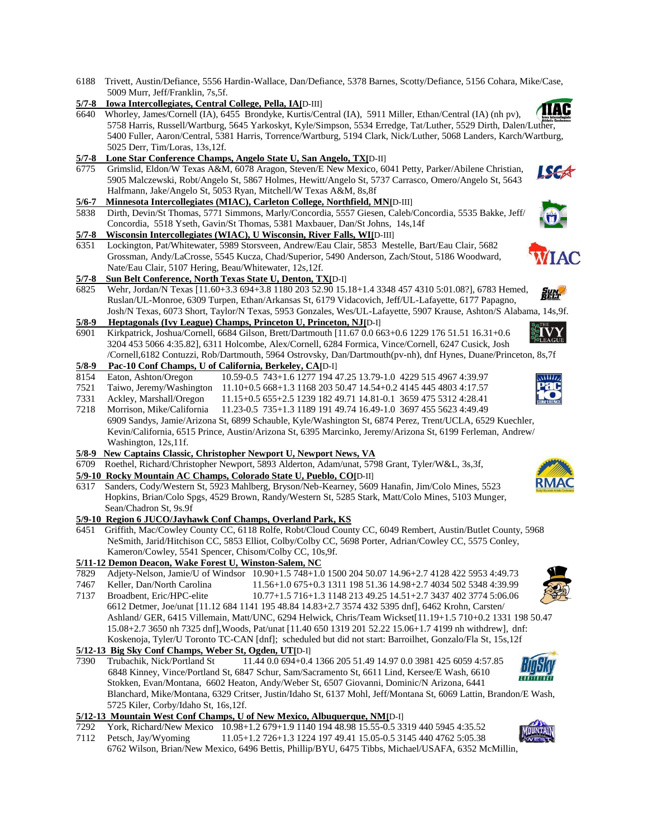- 6188 Trivett, Austin/Defiance, 5556 Hardin-Wallace, Dan/Defiance, 5378 Barnes, Scotty/Defiance, 5156 Cohara, Mike/Case, 5009 Murr, Jeff/Franklin, 7s,5f.
- **5/7-8 Iowa Intercollegiates, Central College, Pella, IA[**D-III]
- TIAC 6640 Whorley, James/Cornell (IA), 6455 Brondyke, Kurtis/Central (IA), 5911 Miller, Ethan/Central (IA) (nh pv), 5758 Harris, Russell/Wartburg, 5645 Yarkoskyt, Kyle/Simpson, 5534 Erredge, Tat/Luther, 5529 Dirth, Dalen/L[uther,](http://www.google.com/imgres?imgurl=http://www.iowaconference.com/graphics/Iiac.jpg&imgrefurl=http://www.iowaconference.com/general/awards/2001-02/all_academic.htm&usg=__O3UhPCbIXrwfmq0XcjKS8ZmIfl0=&h=180&w=290&sz=17&hl=en&start=12&itbs=1&tbnid=yHkaLQMjZoO29M:&tbnh=71&tbnw=115&prev=/images?q=Iowa+Intercollegiate+Athletic+Conference+logo&hl=en&sa=G&gbv=2&tbs=isch:1)  5400 Fuller, Aaron/Central, 5381 Harris, Torrence/Wartburg, 5194 Clark, Nick/Luther, 5068 Landers, Karch/Wartburg, 5025 Derr, Tim/Loras, 13s,12f.
- **5/7-8 Lone Star Conference Champs, Angelo State U, San Angelo, TX[**D-II]
- 6775 Grimslid, Eldon/W Texas A&M, 6078 Aragon, Steven/E New Mexico, 6041 Petty, Parker/Abilene Christian, 5905 Malczewski, Robt/Angelo St, 5867 Holmes, Hewitt/Angelo St, 5737 Carrasco, Omero/Angelo St, 5643 Halfmann, Jake/Angelo St, 5053 Ryan, Mitchell/W Texas A&M, 8s,8f
- **5/6-7 Minnesota Intercollegiates (MIAC), Carleton College, Northfield, MN[**D-III]
- 5838 Dirth, Devin/St Thomas, 5771 Simmons, Marly/Concordia, 5557 Giesen, Caleb/Concordia, 5535 Bakke, Jeff/ Concordia, 5518 Yseth, Gavin/St Thomas, 5381 Maxbauer, Dan/St Johns, 14s,14f

#### **5/7-8 Wisconsin Intercollegiates (WIAC), U Wisconsin, River Falls, WI[**D-III]

6351 Lockington, Pat/Whitewater, 5989 Storsveen, Andrew/Eau Clair, 5853 Mestelle, Bart/Eau Clair, 5682 Grossman, Andy/LaCrosse, 5545 Kucza, Chad/Superior, 5490 Anderson, Zach/Stout, 5186 Woodward, Nate/Eau Clair, 5107 Hering, Beau/Whitewater, 12s,12f.

### **5/7-8 Sun Belt Conference, North Texas State U, Denton, TX[**D-I]

- 6825 Wehr, Jordan/N Texas [11.60+3.3 694+3.8 1180 203 52.90 15.18+1.4 3348 457 4310 5:01.08?], 6783 Hemed, Ruslan/UL-Monroe, 6309 Turpen, Ethan/Arkansas St, 6179 Vidacovich, Jeff/UL-Lafayette, 6177 Papagno,
- Josh/N Texas, 6073 Short, Taylor/N Texas, 5953 Gonzales, Wes/UL-Lafayette, 5907 Krause, Ashton/S Alabama, 14s,9f. **5/8-9 Heptagonals (Ivy League) Champs, Princeton U, Princeton, NJ[**D-I]
- 6901 Kirkpatrick, Joshua/Cornell, 6684 Gilson, Brett/Dartmouth [11.67 0.0 663+0.6 1229 176 51.51 16.31+0.6 3204 453 5066 4:35.82], 6311 Holcombe, Alex/Cornell, 6284 Formica, Vince/Cornell, 6247 Cusick, Josh /Cornell,6182 Contuzzi, Rob/Dartmouth, 5964 Ostrovsky, Dan/Dartmouth(pv-nh), dnf Hynes, Duane/Princeton, 8s,7f

## **5/8-9 Pac-10 Conf Champs, U of California, Berkeley, CA[**D-I]

- 8154 Eaton, Ashton/Oregon 10.59-0.5 743+1.6 1277 194 47.25 13.79-1.0 4229 515 4967 4:39.97
- 7521 Taiwo, Jeremy/Washington 11.10+0.5 668+1.3 1168 203 50.47 14.54+0.2 4145 445 4803 4:17.57
- 7331 Ackley, Marshall/Oregon 11.15+0.5 655+2.5 1239 182 49.71 14.81-0.1 3659 475 5312 4:28.41

7218 Morrison, Mike/California 11.23-0.5 735+1.3 1189 191 49.74 16.49-1.0 3697 455 5623 4:49.49 6909 Sandys, Jamie/Arizona St, 6899 Schauble, Kyle/Washington St, 6874 Perez, Trent/UCLA, 6529 Kuechler, Kevin/California, 6515 Prince, Austin/Arizona St, 6395 Marcinko, Jeremy/Arizona St, 6199 Ferleman, Andrew/ Washington, 12s,11f.

- **5/8-9 New Captains Classic, Christopher Newport U, Newport News, VA**
- 6709 Roethel, Richard/Christopher Newport, 5893 Alderton, Adam/unat, 5798 Grant, Tyler/W&L, 3s,3f,
- **5/9-10 Rocky Mountain AC Champs, Colorado State U, Pueblo, CO[**D-II]
- 6317 Sanders, Cody/Western St, 5923 Mahlberg, Bryson/Neb-Kearney, 5609 Hanafin, Jim/Colo Mines, 5523 Hopkins, Brian/Colo Spgs, 4529 Brown, Randy/Western St, 5285 Stark, Matt/Colo Mines, 5103 Munger, Sean/Chadron St, 9s.9f

### **5/9-10 Region 6 JUCO/Jayhawk Conf Champs, Overland Park, KS**

6451 Griffith, Mac/Cowley County CC, 6118 Rolfe, Robt/Cloud County CC, 6049 Rembert, Austin/Butlet County, 5968 NeSmith, Jarid/Hitchison CC, 5853 Elliot, Colby/Colby CC, 5698 Porter, Adrian/Cowley CC, 5575 Conley, Kameron/Cowley, 5541 Spencer, Chisom/Colby CC, 10s,9f.

## **5/11-12 Demon Deacon, Wake Forest U, Winston-Salem, NC**

- 7829 Adjety-Nelson, Jamie/U of Windsor 10.90+1.5 748+1.0 1500 204 50.07 14.96+2.7 4128 422 5953 4:49.73
- 7467 Keller, Dan/North Carolina 11.56+1.0 675+0.3 1311 198 51.36 14.98+2.7 4034 502 5348 4:39.99 7137 Broadbent, Eric/HPC-elite 10.77+1.5 716+1.3 1148 213 49.25 14.51+2.7 3437 402 3774 5:06.06
- 6612 Detmer, Joe/unat [11.12 684 1141 195 48.84 14.83+2.7 3574 432 5395 dnf], 6462 Krohn, Carsten/ Ashland/ GER, 6415 Villemain, Matt/UNC, 6294 Helwick, Chris/Team Wickset[11.19+1.5 710+0.2 1331 198 50.47 15.08+2.7 3650 nh 7325 dnf],Woods, Pat/unat [11.40 650 1319 201 52.22 15.06+1.7 4199 nh withdrew], dnf: Koskenoja, Tyler/U Toronto TC-CAN [dnf]; scheduled but did not start: Barroilhet, Gonzalo/Fla St, 15s,12f
- **5/12-13 Big Sky Conf Champs, Weber St, Ogden, UT[**D-I]
- 7390 Trubachik, Nick/Portland St 11.44 0.0 694+0.4 1366 205 51.49 14.97 0.0 3981 425 6059 4:57.85 6848 Kinney, Vince/Portland St, 6847 Schur, Sam/Sacramento St, 6611 Lind, Kersee/E Wash, 6610 Stokken, Evan/Montana, 6602 Heaton, Andy/Weber St, 6507 Giovanni, Dominic/N Arizona, 6441 Blanchard, Mike/Montana, 6329 Critser, Justin/Idaho St, 6137 Mohl, Jeff/Montana St, 6069 Lattin, Brandon/E Wash, 5725 Kiler, Corby/Idaho St, 16s,12f.

### **5/12-13 Mountain West Conf Champs, U of New Mexico, Albuquerque, NM[**D-I]

- 7292 York, Richard/New Mexico 10.98+1.2 679+1.9 1140 194 48.98 15.55-0.5 3319 440 5945 4:35.52
- 7112 Petsch, Jay/Wyoming 11.05+1.2 726+1.3 1224 197 49.41 15.05-0.5 3145 440 4762 5:05.38 6762 Wilson, Brian/New Mexico, 6496 Bettis, Phillip/BYU, 6475 Tibbs, Michael/USAFA, 6352 McMillin,











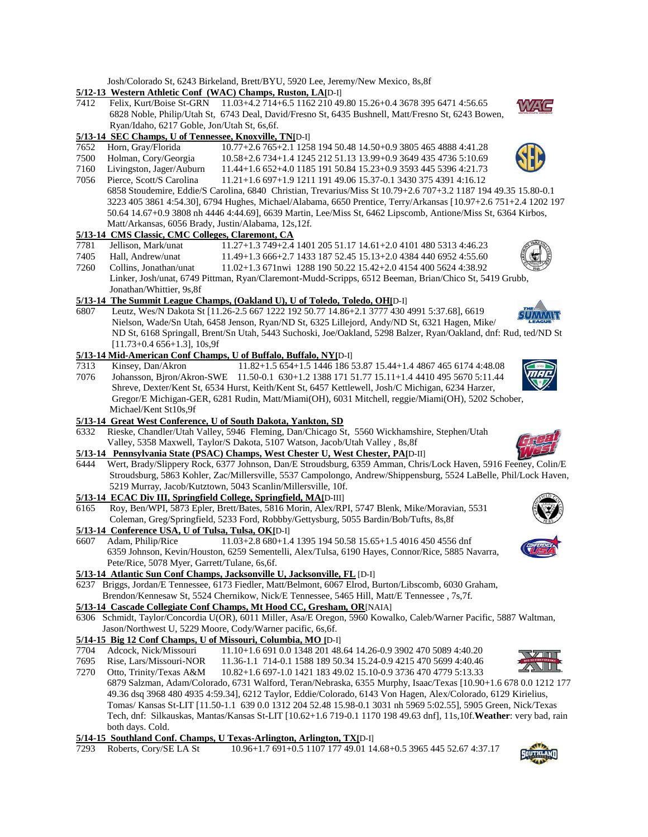Josh/Colorado St, 6243 Birkeland, Brett/BYU, 5920 Lee, Jeremy/New Mexico, 8s,8f

### **5/12-13 Western Athletic Conf (WAC) Champs, Ruston, LA[**D-I]

7412 Felix, Kurt/Boise St-GRN 11.03+4.2 714+6.5 1162 210 49.80 15.26+0.4 3678 395 6471 4:56.65 6828 Noble, Philip/Utah St, 6743 Deal, David/Fresno St, 6435 Bushnell, Matt/Fresno St, 6243 Bowen, Ryan/Idaho, 6217 Goble, Jon/Utah St, 6s,6f.

### **5/13-14 SEC Champs, U of Tennessee, Knoxville, TN[**D-I]

- 7652 Horn, Gray/Florida 10.77+2.6 765+2.1 1258 194 50.48 14.50+0.9 3805 465 4888 4:41.28
- 7500 Holman, Cory/Georgia 10.58+2.6 734+1.4 1245 212 51.13 13.99+0.9 3649 435 4736 5:10.69
- 7160 Livingston, Jager/Auburn 11.44+1.6 652+4.0 1185 191 50.84 15.23+0.9 3593 445 5396 4:21.73
- 7056 Pierce, Scott/S Carolina 11.21+1.6 697+1.9 1211 191 49.06 15.37-0.1 3430 375 4391 4:16.12 6858 Stoudemire, Eddie/S Carolina, 6840 Christian, Trevarius/Miss St 10.79+2.6 707+3.2 1187 194 49.35 15.80-0.1 3223 405 3861 4:54.30], 6794 Hughes, Michael/Alabama, 6650 Prentice, Terry/Arkansas [10.97+2.6 751+2.4 1202 197 50.64 14.67+0.9 3808 nh 4446 4:44.69], 6639 Martin, Lee/Miss St, 6462 Lipscomb, Antione/Miss St, 6364 Kirbos, Matt/Arkansas, 6056 Brady, Justin/Alabama, 12s,12f.

### **5/13-14 CMS Classic, CMC Colleges, Claremont, CA**

7781 Jellison, Mark/unat 11.27+1.3 749+2.4 1401 205 51.17 14.61+2.0 4101 480 5313 4:46.23 7405 Hall, Andrew/unat 11.49+1.3 666+2.7 1433 187 52.45 15.13+2.0 4384 440 6952 4:55.60 7260 Collins, Jonathan/unat 11.02+1.3 671nwi 1288 190 50.22 15.42+2.0 4154 400 5624 4:38.92 Linker, Josh/unat, 6749 Pittman, Ryan/Claremont-Mudd-Scripps, 6512 Beeman, Brian/Chico St, 5419 Grubb, Jonathan/Whittier, 9s,8f

## **5/13-14 The Summit League Champs, (Oakland U), U of Toledo, Toledo, OH[**D-I]

6807 Leutz, Wes/N Dakota St [11.26-2.5 667 1222 192 50.77 14.86+2.1 3777 430 4991 5:37.68], 6619 Nielson, Wade/Sn Utah, 6458 Jenson, Ryan/ND St, 6325 Lillejord, Andy/ND St, 6321 Hagen, Mike/ ND St, 6168 Springall, Brent/Sn Utah, 5443 Suchoski, Joe/Oakland, 5298 Balzer, Ryan/Oakland, dnf: Rud, ted/ND St [11.73+0.4 656+1.3], 10s,9f

## **5/13-14 Mid-American Conf Champs, U of Buffalo, Buffalo, NY[**D-I]

- 7313 Kinsey, Dan/Akron 11.82+1.5 654+1.5 1446 186 53.87 15.44+1.4 4867 465 6174 4:48.08
- 7076 Johansson, Bjron/Akron-SWE 11.50-0.1 630+1.2 1388 171 51.77 15.11+1.4 4410 495 5670 5:11.44 Shreve, Dexter/Kent St, 6534 Hurst, Keith/Kent St, 6457 Kettlewell, Josh/C Michigan, 6234 Harzer, Gregor/E Michigan-GER, 6281 Rudin, Matt/Miami(OH), 6031 Mitchell, reggie/Miami(OH), 5202 Schober, Michael/Kent St10s,9f

### **5/13-14 Great West Conference, U of South Dakota, Yankton, SD**

6332 Rieske, Chandler/Utah Valley, 5946 Fleming, Dan/Chicago St, 5560 Wickhamshire, Stephen/Utah Valley, 5358 Maxwell, Taylor/S Dakota, 5107 Watson, Jacob/Utah Valley , 8s,8f

## **5/13-14 Pennsylvania State (PSAC) Champs, West Chester U, West Chester, PA[**D-II]

6444 Wert, Brady/Slippery Rock, 6377 Johnson, Dan/E Stroudsburg, 6359 Amman, Chris/Lock Haven, 5916 Fe[eney, Colin/E](http://www.google.com/imgres?imgurl=http://alumnifashions.com/images/great-west-conference-logo.png&imgrefurl=http://alumnifashions.com/&usg=__1DfInYXk2uz51SUsVkPkQV1Kb0s=&h=203&w=300&sz=104&hl=en&start=1&itbs=1&tbnid=DKzYrYBqMcFkqM:&tbnh=78&tbnw=116&prev=/images?q=Great+West+Conference+logo&hl=en&sa=G&gbv=2&tbs=isch:1) Stroudsburg, 5863 Kohler, Zac/Millersville, 5537 Campolongo, Andrew/Shippensburg, 5524 LaBelle, Phil/Lock Haven, 5219 Murray, Jacob/Kutztown, 5043 Scanlin/Millersville, 10f.

## **5/13-14 ECAC Div III, Springfield College, Springfield, MA[**D-III]

6165 Roy, Ben/WPI, 5873 Epler, Brett/Bates, 5816 Morin, Alex/RPI, 5747 Blenk, Mike/Moravian, 5531 Coleman, Greg/Springfield, 5233 Ford, Robbby/Gettysburg, 5055 Bardin/Bob/Tufts, 8s,8f

### **5/13-14 Conference USA, U of Tulsa, Tulsa, OK[**D-I]

6607 Adam, Philip/Rice 11.03+2.8 680+1.4 1395 194 50.58 15.65+1.5 4016 450 4556 dnf 6359 Johnson, Kevin/Houston, 6259 Sementelli, Alex/Tulsa, 6190 Hayes, Connor/Rice, 5885 Navarra, Pete/Rice, 5078 Myer, Garrett/Tulane, 6s,6f.

### **5/13-14 Atlantic Sun Conf Champs, Jacksonville U, Jacksonville, FL** [D-I]

6237 Briggs, Jordan/E Tennessee, 6173 Fiedler, Matt/Belmont, 6067 Elrod, Burton/Libscomb, 6030 Graham, Brendon/Kennesaw St, 5524 Chernikow, Nick/E Tennessee, 5465 Hill, Matt/E Tennessee , 7s,7f.

# **5/13-14 Cascade Collegiate Conf Champs, Mt Hood CC, Gresham, OR**[NAIA]

- 6306 Schmidt, Taylor/Concordia U(OR), 6011 Miller, Asa/E Oregon, 5960 Kowalko, Caleb/Warner Pacific, 5887 Waltman, Jason/Northwest U, 5229 Moore, Cody/Warner pacific, 6s,6f.
- **5/14-15 Big 12 Conf Champs, U of Missouri, Columbia, MO [**D-I]
- 7704 Adcock, Nick/Missouri 11.10+1.6 691 0.0 1348 201 48.64 14.26-0.9 3902 470 5089 4:40.20 7695 Rise, Lars/Missouri-NOR 11.36-1.1 714-0.1 1588 189 50.34 15.24-0.9 4215 470 5699 4:40.46

7270 Otto, Trinity/Texas A&M 10.82+1.6 697-1.0 1421 183 49.02 15.10-0.9 3736 470 4779 5:13.33 6879 Salzman, Adam/Colorado, 6731 Walford, Teran/Nebraska, 6355 Murphy, Isaac/Texas [10.90+1.6 678 0.0 1212 177 49.36 dsq 3968 480 4935 4:59.34], 6212 Taylor, Eddie/Colorado, 6143 Von Hagen, Alex/Colorado, 6129 Kirielius, Tomas/ Kansas St-LIT [11.50-1.1 639 0.0 1312 204 52.48 15.98-0.1 3031 nh 5969 5:02.55], 5905 Green, Nick/Texas Tech, dnf: Silkauskas, Mantas/Kansas St-LIT [10.62+1.6 719-0.1 1170 198 49.63 dnf], 11s,10f.**Weather**: very bad, rain both days. Cold.

## **5/14-15 Southland Conf. Champs, U Texas-Arlington, Arlington, TX[**D-I]

7293 Roberts, Cory/SE LA St 10.96+1.7 691+0.5 1107 177 49.01 14.68+0.5 3965 445 52.67 4:37.17









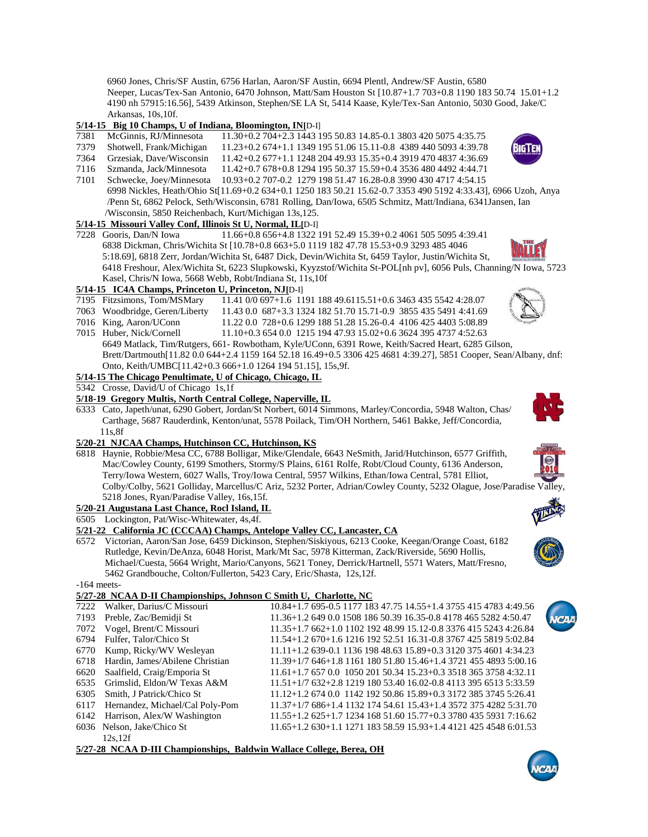6960 Jones, Chris/SF Austin, 6756 Harlan, Aaron/SF Austin, 6694 Plentl, Andrew/SF Austin, 6580 Neeper, Lucas/Tex-San Antonio, 6470 Johnson, Matt/Sam Houston St [10.87+1.7 703+0.8 1190 183 50.74 15.01+1.2 4190 nh 57915:16.56], 5439 Atkinson, Stephen/SE LA St, 5414 Kaase, Kyle/Tex-San Antonio, 5030 Good, Jake/C Arkansas, 10s,10f.

### **5/14-15 Big 10 Champs, U of Indiana, Bloomington, IN[**D-I]

- 7381 McGinnis, RJ/Minnesota 11.30+0.2 704+2.3 1443 195 50.83 14.85-0.1 3803 420 5075 4:35.75
- 7379 Shotwell, Frank/Michigan 11.23+0.2 674+1.1 1349 195 51.06 15.11-0.8 4389 440 5093 4:39.78
- 7364 Grzesiak, Dave/Wisconsin 11.42+0.2 677+1.1 1248 204 49.93 15.35+0.4 3919 470 4837 4:36.69 7116 Szmanda, Jack/Minnesota 11.42+0.7 678+0.8 1294 195 50.37 15.59+0.4 3536 480 4492 4:44.71
- 7101 Schwecke, Joey/Minnesota 10.93+0.2 707-0.2 1279 198 51.47 16.28-0.8 3990 430 4717 4:54.15
- 6998 Nickles, Heath/Ohio St[11.69+0.2 634+0.1 1250 183 50.21 15.62-0.7 3353 490 5192 4:33.43], 6966 Uzoh, Anya /Penn St, 6862 Pelock, Seth/Wisconsin, 6781 Rolling, Dan/Iowa, 6505 Schmitz, Matt/Indiana, 6341Jansen, Ian /Wisconsin, 5850 Reichenbach, Kurt/Michigan 13s,125.

# **5/14-15 Missouri Valley Conf, Illinois St U, Normal, IL[**D-I]

7228 Gooris, Dan/N Iowa 11.66+0.8 656+4.8 1322 191 52.49 15.39+0.2 4061 505 5095 4:39.41 6838 Dickman, Chris/Wichita St [10.78+0.8 663+5.0 1119 182 47.78 15.53+0.9 3293 485 4046 5:18.69], 6818 Zerr, Jordan/Wichita St, 6487 Dick, Devin/Wichita St, 6459 Taylor, Justin/Wichita St,

 6418 Freshour, Alex/Wichita St, 6223 Slupkowski, Kyyzstof/Wichita St-POL[nh pv], 6056 Puls, Channing/N Iowa, 5723 Kasel, Chris/N Iowa, 5668 Webb, Robt/Indiana St, 11s,10f

# **5/14-15 IC4A Champs, Princeton U, Princeton, NJ[**D-I]

- 7195 Fitzsimons, Tom/MSMary 11.41 0/0 697+1.6 1191 188 49.6115.51+0.6 3463 435 5542 4:28.07
- 7063 Woodbridge, Geren/Liberty 11.43 0.0 687+3.3 1324 182 51.70 15.71-0.9 3855 435 5491 4:41.69
- 7016 King, Aaron/UConn 11.22 0.0 728+0.6 1299 188 51.28 15.26-0.4 4106 425 4403 5:08.89
- 7015 Huber, Nick/Cornell 11.10+0.3 654 0.0 1215 194 47.93 15.02+0.6 3624 395 4737 4:52.63 6649 Matlack, Tim/Rutgers, 661- Rowbotham, Kyle/UConn, 6391 Rowe, Keith/Sacred Heart, 6285 Gilson, Brett/Dartmouth[11.82 0.0 644+2.4 1159 164 52.18 16.49+0.5 3306 425 4681 4:39.27], 5851 Cooper, Sean/Albany, dnf: Onto, Keith/UMBC[11.42+0.3 666+1.0 1264 194 51.15], 15s,9f.

## **5/14-15 The Chicago Penultimate, U of Chicago, Chicago, IL**

5342 Crosse, David/U of Chicago 1s,1f

### **5/18-19 Gregory Multis, North Central College, Naperville, IL**

6333 Cato, Japeth/unat, 6290 Gobert, Jordan/St Norbert, 6014 Simmons, Marley/Concordia, 5948 Walton, Chas/ Carthage, 5687 Rauderdink, Kenton/unat, 5578 Poilack, Tim/OH Northern, 5461 Bakke, Jeff/Concordia, 11s,8f

### **5/20-21 NJCAA Champs, Hutchinson CC, Hutchinson, KS**

6818 Haynie, Robbie/Mesa CC, 6788 Bolligar, Mike/Glendale, 6643 NeSmith, Jarid/Hutchinson, 6577 Griffith, Mac/Cowley County, 6199 Smothers, Stormy/S Plains, 6161 Rolfe, Robt/Cloud County, 6136 Anderson, Terry/Iowa Western, 6027 Walls, Troy/Iowa Central, 5957 Wilkins, Ethan/Iowa Central, 5781 Elliot, Colby/Colby, 5621 Golliday, Marcellus/C Ariz, 5232 Porter, Adrian/Cowley County, 5232 Olague, Jose/Paradise Valley, 5218 Jones, Ryan/Paradise Valley, 16s,15f.

# **5/20-21 Augustana Last Chance, Rocl Island, IL**

### 6505 Lockington, Pat/Wisc-Whitewater, 4s,4f.

## **5/21-22 California JC (CCCAA) Champs, Antelope Valley CC, Lancaster, CA**

6572 Victorian, Aaron/San Jose, 6459 Dickinson, Stephen/Siskiyous, 6213 Cooke, Keegan/Orange Coast, 6182 Rutledge, Kevin/DeAnza, 6048 Horist, Mark/Mt Sac, 5978 Kitterman, Zack/Riverside, 5690 Hollis, Michael/Cuesta, 5664 Wright, Mario/Canyons, 5621 Toney, Derrick/Hartnell, 5571 Waters, Matt/Fresno, 5462 Grandbouche, Colton/Fullerton, 5423 Cary, Eric/Shasta, 12s,12f.

-164 meets-

## **5/27-28 NCAA D-II Championships, Johnson C Smith U, Charlotte, NC**

| 7222 | Walker, Darius/C Missouri                                            | 10.84+1.7 695-0.5 1177 183 47.75 14.55+1.4 3755 415 4783 4:49.56   |  |  |
|------|----------------------------------------------------------------------|--------------------------------------------------------------------|--|--|
|      | 7193 Preble, Zac/Bemidji St                                          | 11.36+1.2 649 0.0 1508 186 50.39 16.35-0.8 4178 465 5282 4:50.47   |  |  |
|      | 7072 Vogel, Brent/C Missouri                                         | 11.35+1.7 662+1.0 1102 192 48.99 15.12-0.8 3376 415 5243 4:26.84   |  |  |
| 6794 | Fulfer, Talor/Chico St                                               | 11.54+1.2 670+1.6 1216 192 52.51 16.31-0.8 3767 425 5819 5:02.84   |  |  |
| 6770 | Kump, Ricky/WV Wesleyan                                              | $11.11+1.2$ 639-0.1 1136 198 48.63 15.89+0.3 3120 375 4601 4:34.23 |  |  |
|      | 6718 Hardin, James/Abilene Christian                                 | $11.39+1/7$ 646+1.8 1161 180 51.80 15.46+1.4 3721 455 4893 5:00.16 |  |  |
|      | 6620 Saalfield, Craig/Emporia St                                     | 11.61+1.7 657 0.0 1050 201 50.34 15.23+0.3 3518 365 3758 4:32.11   |  |  |
|      | 6535 Grimslid, Eldon/W Texas A&M                                     | $11.51+1/7$ 632+2.8 1219 180 53.40 16.02-0.8 4113 395 6513 5:33.59 |  |  |
| 6305 | Smith. J Patrick/Chico St                                            | $11.12+1.26740.0114219250.8615.89+0.3317238537455:26.41$           |  |  |
| 6117 | Hernandez, Michael/Cal Poly-Pom                                      | $11.37+1/7$ 686+1.4 1132 174 54.61 15.43+1.4 3572 375 4282 5:31.70 |  |  |
|      | 6142 Harrison, Alex/W Washington                                     | 11.55+1.2 625+1.7 1234 168 51.60 15.77+0.3 3780 435 5931 7:16.62   |  |  |
|      | 6036 Nelson, Jake/Chico St                                           | $11.65+1.2630+1.1127118358.5915.93+1.4412142545486:01.53$          |  |  |
|      | 12s.12f                                                              |                                                                    |  |  |
|      | 5/27-28 NCAA D-III Championships, Baldwin Wallace College, Berea, OH |                                                                    |  |  |













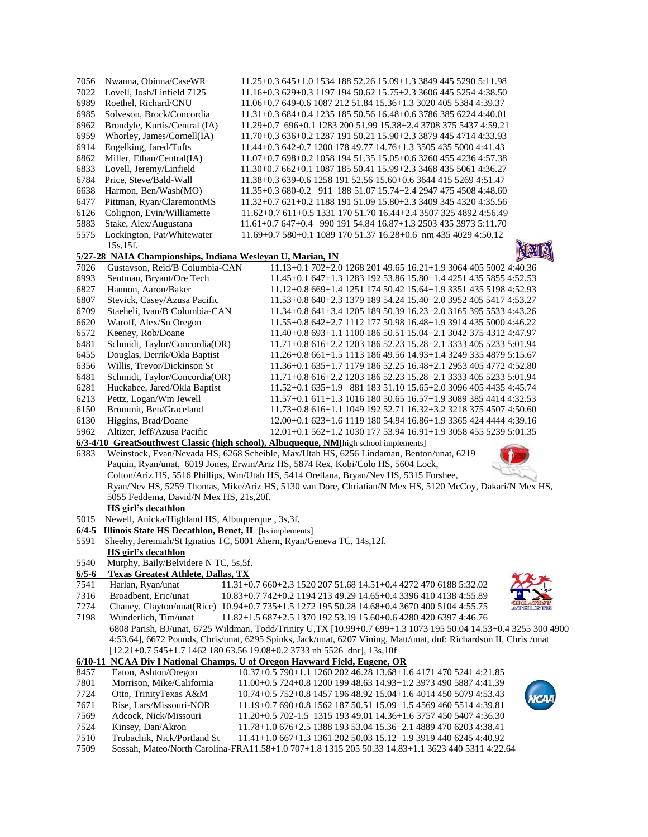| 7056         | Nwanna, Obinna/CaseWR                                                                        | 11.25+0.3 645+1.0 1534 188 52.26 15.09+1.3 3849 445 5290 5:11.98                                                                                                          |
|--------------|----------------------------------------------------------------------------------------------|---------------------------------------------------------------------------------------------------------------------------------------------------------------------------|
| 7022         | Lovell, Josh/Linfield 7125                                                                   | 11.16+0.3 629+0.3 1197 194 50.62 15.75+2.3 3606 445 5254 4:38.50                                                                                                          |
| 6989         | Roethel, Richard/CNU                                                                         | 11.06+0.7 649-0.6 1087 212 51.84 15.36+1.3 3020 405 5384 4:39.37                                                                                                          |
| 6985         | Solveson, Brock/Concordia                                                                    | 11.31+0.3 684+0.4 1235 185 50.56 16.48+0.6 3786 385 6224 4:40.01                                                                                                          |
| 6962         | Brondyle, Kurtis/Central (IA)                                                                | 11.29+0.7 696+0.1 1283 200 51.99 15.38+2.4 3708 375 5437 4:59.21                                                                                                          |
| 6959         | Whorley, James/Cornell(IA)                                                                   | 11.70+0.3 636+0.2 1287 191 50.21 15.90+2.3 3879 445 4714 4:33.93                                                                                                          |
| 6914         | Engelking, Jared/Tufts                                                                       | 11.44+0.3 642-0.7 1200 178 49.77 14.76+1.3 3505 435 5000 4:41.43                                                                                                          |
| 6862         | Miller, Ethan/Central(IA)                                                                    | 11.07+0.7 698+0.2 1058 194 51.35 15.05+0.6 3260 455 4236 4:57.38                                                                                                          |
| 6833         | Lovell, Jeremy/Linfield                                                                      | 11.30+0.7 662+0.1 1087 185 50.41 15.99+2.3 3468 435 5061 4:36.27                                                                                                          |
| 6784         | Price, Steve/Bald-Wall                                                                       | 11.38+0.3 639-0.6 1258 191 52.56 15.60+0.6 3644 415 5269 4:51.47                                                                                                          |
| 6638         | Harmon, Ben/Wash(MO)                                                                         | 11.35+0.3 680-0.2 911 188 51.07 15.74+2.4 2947 475 4508 4:48.60                                                                                                           |
| 6477         | Pittman, Ryan/ClaremontMS                                                                    | 11.32+0.7 621+0.2 1188 191 51.09 15.80+2.3 3409 345 4320 4:35.56                                                                                                          |
| 6126         | Colignon, Evin/Williamette                                                                   | 11.62+0.7 611+0.5 1331 170 51.70 16.44+2.4 3507 325 4892 4:56.49                                                                                                          |
| 5883         | Stake, Alex/Augustana                                                                        | 11.61+0.7 647+0.4 990 191 54.84 16.87+1.3 2503 435 3973 5:11.70                                                                                                           |
| 5575         | Lockington, Pat/Whitewater                                                                   | 11.69+0.7 580+0.1 1089 170 51.37 16.28+0.6 nm 435 4029 4:50.12                                                                                                            |
|              | 15s, 15f.                                                                                    |                                                                                                                                                                           |
|              | 5/27-28 NAIA Championships, Indiana Wesleyan U, Marian, IN<br>Gustavson, Reid/B Columbia-CAN |                                                                                                                                                                           |
| 7026<br>6993 | Sentman, Bryant/Ore Tech                                                                     | 11.13+0.1 702+2.0 1268 201 49.65 16.21+1.9 3064 405 5002 4:40.36<br>11.45+0.1 647+1.3 1283 192 53.86 15.80+1.4 4251 435 5855 4:52.53                                      |
| 6827         | Hannon, Aaron/Baker                                                                          | 11.12+0.8 669+1.4 1251 174 50.42 15.64+1.9 3351 435 5198 4:52.93                                                                                                          |
| 6807         | Stevick, Casey/Azusa Pacific                                                                 | 11.53+0.8 640+2.3 1379 189 54.24 15.40+2.0 3952 405 5417 4:53.27                                                                                                          |
| 6709         | Staeheli, Ivan/B Columbia-CAN                                                                | 11.34+0.8 641+3.4 1205 189 50.39 16.23+2.0 3165 395 5533 4:43.26                                                                                                          |
| 6620         | Waroff, Alex/Sn Oregon                                                                       | 11.55+0.8 642+2.7 1112 177 50.98 16.48+1.9 3914 435 5000 4:46.22                                                                                                          |
| 6572         | Keeney, Rob/Doane                                                                            | 11.40+0.8 693+1.1 1100 186 50.51 15.04+2.1 3042 375 4312 4:47.97                                                                                                          |
| 6481         | Schmidt, Taylor/Concordia(OR)                                                                | 11.71+0.8 616+2.2 1203 186 52.23 15.28+2.1 3333 405 5233 5:01.94                                                                                                          |
| 6455         | Douglas, Derrik/Okla Baptist                                                                 | 11.26+0.8 661+1.5 1113 186 49.56 14.93+1.4 3249 335 4879 5:15.67                                                                                                          |
| 6356         | Willis, Trevor/Dickinson St                                                                  | 11.36+0.1 635+1.7 1179 186 52.25 16.48+2.1 2953 405 4772 4:52.80                                                                                                          |
| 6481         | Schmidt, Taylor/Concordia(OR)                                                                | 11.71+0.8 616+2.2 1203 186 52.23 15.28+2.1 3333 405 5233 5:01.94                                                                                                          |
| 6281         | Huckabee, Jared/Okla Baptist                                                                 | 11.52+0.1 635+1.9 881 183 51.10 15.65+2.0 3096 405 4435 4:45.74                                                                                                           |
| 6213         | Pettz, Logan/Wm Jewell                                                                       | 11.57+0.1 611+1.3 1016 180 50.65 16.57+1.9 3089 385 4414 4:32.53                                                                                                          |
| 6150         | Brummit, Ben/Graceland                                                                       | 11.73+0.8 616+1.1 1049 192 52.71 16.32+3.2 3218 375 4507 4:50.60                                                                                                          |
| 6130         | Higgins, Brad/Doane                                                                          | 12.00+0.1 623+1.6 1119 180 54.94 16.86+1.9 3365 424 4444 4:39.16                                                                                                          |
| 5962         | Altizer, Jeff/Azusa Pacific                                                                  | 12.01+0.1 562+1.2 1030 177 53.94 16.91+1.9 3058 455 5239 5:01.35                                                                                                          |
|              |                                                                                              | 6/3-4/10 GreatSouthwest Classic (high school), Albuqueque, NM[high school implements]                                                                                     |
| 6383         |                                                                                              | Weinstock, Evan/Nevada HS, 6268 Scheible, Max/Utah HS, 6256 Lindaman, Benton/unat, 6219                                                                                   |
|              |                                                                                              | Paquin, Ryan/unat, 6019 Jones, Erwin/Ariz HS, 5874 Rex, Kobi/Colo HS, 5604 Lock,<br>Colton/Ariz HS, 5516 Phillips, Wm/Utah HS, 5414 Orellana, Bryan/Nev HS, 5315 Forshee, |
|              |                                                                                              | Ryan/Nev HS, 5259 Thomas, Mike/Ariz HS, 5130 van Dore, Chriatian/N Mex HS, 5120 McCoy, Dakari/N Mex HS,                                                                   |
|              | 5055 Feddema, David/N Mex HS, 21s,20f.                                                       |                                                                                                                                                                           |
|              | <b>HS</b> girl's decathlon                                                                   |                                                                                                                                                                           |
| 5015         | Newell, Anicka/Highland HS, Albuquerque, 3s,3f.                                              |                                                                                                                                                                           |
| $6/4 - 5$    | <b>Illinois State HS Decathlon, Benet, IL</b> [hs implements]                                |                                                                                                                                                                           |
| 5591         |                                                                                              | Sheehy, Jeremiah/St Ignatius TC, 5001 Ahern, Ryan/Geneva TC, 14s, 12f.                                                                                                    |
|              | <b>HS</b> girl's decathlon                                                                   |                                                                                                                                                                           |
| 5540         | Murphy, Baily/Belvidere N TC, 5s,5f.                                                         |                                                                                                                                                                           |
| $6/5 - 6$    | <b>Texas Greatest Athlete, Dallas, TX</b>                                                    | 11.31+0.7 660+2.3 1520 207 51.68 14.51+0.4 4272 470 6188 5:32.02                                                                                                          |
| 7541<br>7316 | Harlan, Ryan/unat<br>Broadbent, Eric/unat                                                    | 10.83+0.7 742+0.2 1194 213 49.29 14.65+0.4 3396 410 4138 4:55.89                                                                                                          |
| 7274         |                                                                                              | Chaney, Clayton/unat(Rice) 10.94+0.7 735+1.5 1272 195 50.28 14.68+0.4 3670 400 5104 4:55.75                                                                               |
| 7198         | Wunderlich, Tim/unat                                                                         | 11.82+1.5 687+2.5 1370 192 53.19 15.60+0.6 4280 420 6397 4:46.76                                                                                                          |
|              |                                                                                              | 6808 Parish, BJ/unat, 6725 Wildman, Todd/Trinity U,TX [10.99+0.7 699+1.3 1073 195 50.04 14.53+0.4 3255 300 4900                                                           |
|              |                                                                                              | 4:53.64], 6672 Pounds, Chris/unat, 6295 Spinks, Jack/unat, 6207 Vining, Matt/unat, dnf: Richardson II, Chris/unat                                                         |
|              |                                                                                              | $[12.21+0.7545+1.7146218063.5619.08+0.23733$ nh 5526 dnr], 13s,10f                                                                                                        |
|              |                                                                                              | 6/10-11 NCAA Div I National Champs, U of Oregon Hayward Field, Eugene, OR                                                                                                 |
| 8457         | Eaton, Ashton/Oregon                                                                         | 10.37+0.5 790+1.1 1260 202 46.28 13.68+1.6 4171 470 5241 4:21.85                                                                                                          |
| 7801         | Morrison, Mike/California                                                                    | 11.00+0.5 724+0.8 1200 199 48.63 14.93+1.2 3973 490 5887 4:41.39                                                                                                          |
| 7724         | Otto, TrinityTexas A&M                                                                       | 10.74+0.5 752+0.8 1457 196 48.92 15.04+1.6 4014 450 5079 4:53.43                                                                                                          |
| 7671         | Rise, Lars/Missouri-NOR                                                                      | 11.19+0.7 690+0.8 1562 187 50.51 15.09+1.5 4569 460 5514 4:39.81                                                                                                          |
| 7569         | Adcock, Nick/Missouri                                                                        | 11.20+0.5 702-1.5 1315 193 49.01 14.36+1.6 3757 450 5407 4:36.30                                                                                                          |
| 7524         | Kinsey, Dan/Akron                                                                            | 11.78+1.0 676+2.5 1388 193 53.04 15.36+2.1 4889 470 6203 4:38.41                                                                                                          |

7510 Trubachik, Nick/Portland St 11.41+1.0 667+1.3 1361 202 50.03 15.12+1.9 3919 440 6245 4:40.92 7509 Sossah, Mateo/North Carolina-FRA11.58+1.0 707+1.8 1315 205 50.33 14.83+1.1 3623 440 5311 4:22.64



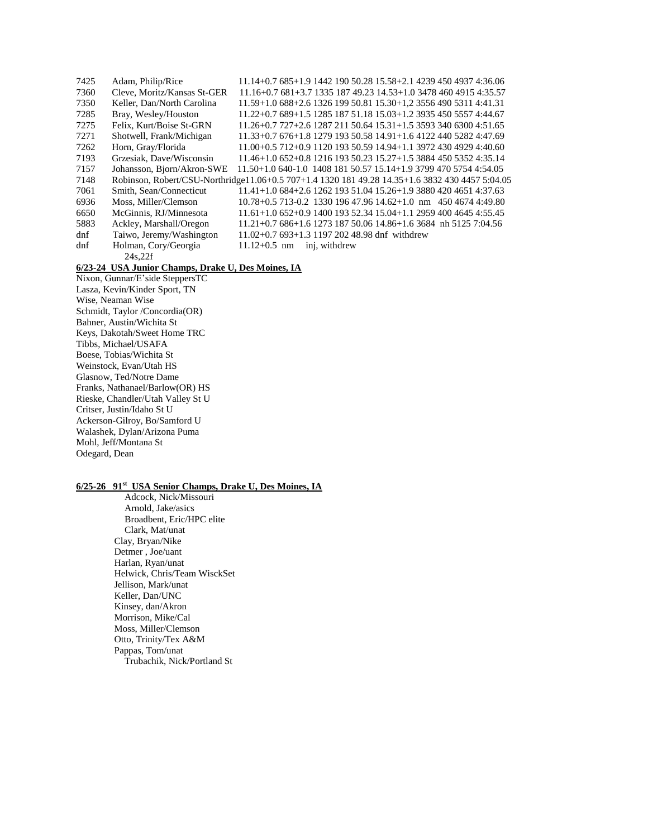| 7425   | Adam, Philip/Rice           | $11.14+0.7685+1.9144219050.2815.58+2.142394504937436.06$                                        |
|--------|-----------------------------|-------------------------------------------------------------------------------------------------|
| 7360   | Cleve. Moritz/Kansas St-GER | $11.16+0.7681+3.7133518749.2314.53+1.034784604915435.57$                                        |
| 7350   | Keller, Dan/North Carolina  | 11.59+1.0 688+2.6 1326 199 50.81 15.30+1.2 3556 490 5311 4:41.31                                |
| 7285   | Bray, Wesley/Houston        | 11.22+0.7 689+1.5 1285 187 51.18 15.03+1.2 3935 450 5557 4:44.67                                |
| 7275   | Felix, Kurt/Boise St-GRN    | $11.26 + 0.7727 + 2.6128721150.6415.31 + 1.5359334063004.51.65$                                 |
| 7271   | Shotwell, Frank/Michigan    | $11.33+0.76$ 676+1.8 1279 193 50.58 14.91+1.6 4122 440 5282 4:47.69                             |
| 7262   | Horn, Gray/Florida          | $11.00+0.5$ 712+0.9 1120 193 50.59 14.94+1.1 3972 430 4929 4:40.60                              |
| 7193   | Grzesiak, Dave/Wisconsin    | $11.46+1.0652+0.8121619350.2315.27+1.5388445053524:35.14$                                       |
| 7157   | Johansson, Bjorn/Akron-SWE  | $11.50+1.0640-1.0140818150.5715.14+1.9379947057544:54.05$                                       |
| 7148   |                             | Robinson, Robert/CSU-Northridge11.06+0.5 707+1.4 1320 181 49.28 14.35+1.6 3832 430 4457 5:04.05 |
| 7061   | Smith, Sean/Connecticut     | $11.41+1.0684+2.6126219351.0415.26+1.9388042046514:37.63$                                       |
| 6936   | Moss, Miller/Clemson        | $10.78 + 0.5713 - 0.2133019647.9614.62 + 1.0 \text{ nm}$ 450 4674 4:49.80                       |
| 6650   | McGinnis, RJ/Minnesota      | $11.61+1.0652+0.9140019352.3415.04+1.1295940046454:55.45$                                       |
| 5883   | Ackley, Marshall/Oregon     | $11.21+0.7686+1.6127318750.0614.86+1.63684$ nh 5125 7:04.56                                     |
| dnf    | Taiwo, Jeremy/Washington    | $11.02+0.7693+1.3119720248.98$ dnf withdrew                                                     |
| $d$ nf | Holman, Cory/Georgia        | $11.12+0.5$ nm<br>inj, withdrew                                                                 |
|        | 24s.22f                     |                                                                                                 |

# **6/23-24 USA Junior Champs, Drake U, Des Moines, IA**

Nixon, Gunnar/E'side SteppersTC Lasza, Kevin/Kinder Sport, TN Wise, Neaman Wise Schmidt, Taylor /Concordia(OR) Bahner, Austin/Wichita St Keys, Dakotah/Sweet Home TRC Tibbs, Michael/USAFA Boese, Tobias/Wichita St Weinstock, Evan/Utah HS Glasnow, Ted/Notre Dame Franks, Nathanael/Barlow(OR) HS Rieske, Chandler/Utah Valley St U Critser, Justin/Idaho St U Ackerson-Gilroy, Bo/Samford U Walashek, Dylan/Arizona Puma Mohl, Jeff/Montana St Odegard, Dean

### **6/25-26 91st USA Senior Champs, Drake U, Des Moines, IA**

Adcock, Nick/Missouri Arnold, Jake/asics Broadbent, Eric/HPC elite Clark, Mat/unat Clay, Bryan/Nike Detmer , Joe/uant Harlan, Ryan/unat Helwick, Chris/Team WisckSet Jellison, Mark/unat Keller, Dan/UNC Kinsey, dan/Akron Morrison, Mike/Cal Moss, Miller/Clemson Otto, Trinity/Tex A&M Pappas, Tom/unat Trubachik, Nick/Portland St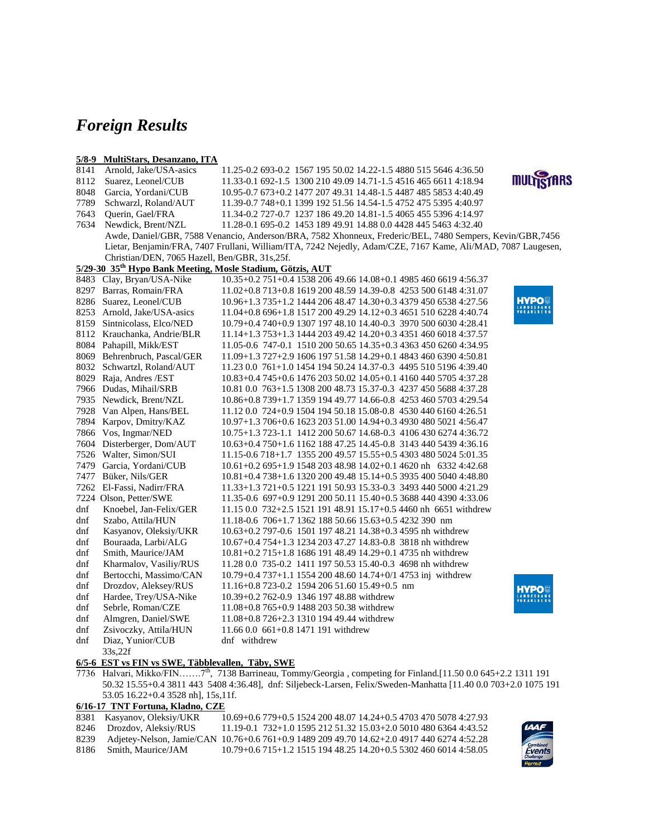# *Foreign Results*

#### **5/8-9 MultiStars, Desanzano, ITA**

| 8141 | Arnold, Jake/USA-asics                                                 | 11.25-0.2 693-0.2 1567 195 50.02 14.22-1.5 4880 515 5646 4:36.50                                             |                   |
|------|------------------------------------------------------------------------|--------------------------------------------------------------------------------------------------------------|-------------------|
| 8112 | Suarez, Leonel/CUB                                                     | 11.33-0.1 692-1.5 1300 210 49.09 14.71-1.5 4516 465 6611 4:18.94                                             | <b>MULTISTARS</b> |
| 8048 | Garcia, Yordani/CUB                                                    | 10.95-0.7 673+0.2 1477 207 49.31 14.48-1.5 4487 485 5853 4:40.49                                             |                   |
| 7789 | Schwarzl, Roland/AUT                                                   | 11.39-0.7 748+0.1 1399 192 51.56 14.54-1.5 4752 475 5395 4:40.97                                             |                   |
| 7643 | Querin, Gael/FRA                                                       | 11.34-0.2 727-0.7 1237 186 49.20 14.81-1.5 4065 455 5396 4:14.97                                             |                   |
| 7634 | Newdick, Brent/NZL                                                     | 11.28-0.1 695-0.2 1453 189 49.91 14.88 0.0 4428 445 5463 4:32.40                                             |                   |
|      |                                                                        | Awde, Daniel/GBR, 7588 Venancio, Anderson/BRA, 7582 Xhonneux, Frederic/BEL, 7480 Sempers, Kevin/GBR, 7456    |                   |
|      |                                                                        | Lietar, Benjamin/FRA, 7407 Frullani, William/ITA, 7242 Nejedly, Adam/CZE, 7167 Kame, Ali/MAD, 7087 Laugesen, |                   |
|      | Christian/DEN, 7065 Hazell, Ben/GBR, 31s,25f.                          |                                                                                                              |                   |
|      | 5/29-30 35 <sup>th</sup> Hypo Bank Meeting, Mosle Stadium, Götzis, AUT |                                                                                                              |                   |
| 8483 | Clay, Bryan/USA-Nike                                                   | 10.35+0.2 751+0.4 1538 206 49.66 14.08+0.1 4985 460 6619 4:56.37                                             |                   |
|      | 8297 Barras, Romain/FRA                                                | 11.02+0.8 713+0.8 1619 200 48.59 14.39-0.8 4253 500 6148 4:31.07                                             |                   |
|      | 8286 Suarez, Leonel/CUB                                                | 10.96+1.3 735+1.2 1444 206 48.47 14.30+0.3 4379 450 6538 4:27.56                                             | HYPOI             |
|      | 8253 Arnold, Jake/USA-asics                                            | 11.04+0.8 696+1.8 1517 200 49.29 14.12+0.3 4651 510 6228 4:40.74                                             | ANDESBANN         |
|      | 8159 Sintnicolass, Elco/NED                                            | 10.79+0.4 740+0.9 1307 197 48.10 14.40-0.3 3970 500 6030 4:28.41                                             |                   |
|      | 8112 Krauchanka, Andrie/BLR                                            | 11.14+1.3 753+1.3 1444 203 49.42 14.20+0.3 4351 460 6018 4:37.57                                             |                   |
|      | 8084 Pahapill, Mikk/EST                                                | 11.05-0.6 747-0.1 1510 200 50.65 14.35+0.3 4363 450 6260 4:34.95                                             |                   |
|      | 8069 Behrenbruch, Pascal/GER                                           | 11.09+1.3 727+2.9 1606 197 51.58 14.29+0.1 4843 460 6390 4:50.81                                             |                   |
| 8032 | Schwartzl, Roland/AUT                                                  | 11.23 0.0 761+1.0 1454 194 50.24 14.37-0.3 4495 510 5196 4:39.40                                             |                   |
|      | 8029 Raja, Andres / EST                                                | 10.83+0.4 745+0.6 1476 203 50.02 14.05+0.1 4160 440 5705 4:37.28                                             |                   |
|      | 7966 Dudas, Mihail/SRB                                                 | 10.81 0.0 763+1.5 1308 200 48.73 15.37-0.3 4237 450 5688 4:37.28                                             |                   |
|      | 7935 Newdick, Brent/NZL                                                | 10.86+0.8 739+1.7 1359 194 49.77 14.66-0.8 4253 460 5703 4:29.54                                             |                   |
| 7928 | Van Alpen, Hans/BEL                                                    | 11.12 0.0 724+0.9 1504 194 50.18 15.08-0.8 4530 440 6160 4:26.51                                             |                   |
|      | 7894 Karpov, Dmitry/KAZ                                                | 10.97+1.3 706+0.6 1623 203 51.00 14.94+0.3 4930 480 5021 4:56.47                                             |                   |
| 7866 | Vos, Ingmar/NED                                                        | 10.75+1.3 723-1.1 1412 200 50.67 14.68-0.3 4106 430 6274 4:36.72                                             |                   |
|      | 7604 Disterberger, Dom/AUT                                             | 10.63+0.4 750+1.6 1162 188 47.25 14.45-0.8 3143 440 5439 4:36.16                                             |                   |
|      | 7526 Walter, Simon/SUI                                                 | 11.15-0.6 718+1.7 1355 200 49.57 15.55+0.5 4303 480 5024 5:01.35                                             |                   |
| 7479 | Garcia, Yordani/CUB                                                    | $10.61+0.2695+1.9154820348.9814.02+0.14620$ nh 63324:42.68                                                   |                   |
|      | 7477 Büker, Nils/GER                                                   | 10.81+0.4 738+1.6 1320 200 49.48 15.14+0.5 3935 400 5040 4:48.80                                             |                   |
|      | 7262 El-Fassi, Nadirr/FRA                                              | 11.33+1.3 721+0.5 1221 191 50.93 15.33-0.3 3493 440 5000 4:21.29                                             |                   |
|      | 7224 Olson, Petter/SWE                                                 | 11.35-0.6 697+0.9 1291 200 50.11 15.40+0.5 3688 440 4390 4:33.06                                             |                   |
| dnf  | Knoebel, Jan-Felix/GER                                                 | $11.15\,0.0\,732+2.5\,1521\,191\,48.91\,15.17+0.5\,4460\,\mathrm{nh}\,6651\,\mathrm{with}$ drew              |                   |
| dnf  | Szabo, Attila/HUN                                                      | 11.18-0.6 706+1.7 1362 188 50.66 15.63+0.5 4232 390 nm                                                       |                   |
| dnf  | Kasyanov, Oleksiy/UKR                                                  | 10.63+0.2 797-0.6 1501 197 48.21 14.38+0.3 4595 nh withdrew                                                  |                   |
| dnf  | Bouraada, Larbi/ALG                                                    | 10.67+0.4 754+1.3 1234 203 47.27 14.83-0.8 3818 nh withdrew                                                  |                   |
| dnf  | Smith, Maurice/JAM                                                     | $10.81 + 0.2715 + 1.8168619148.4914.29 + 0.14735$ nh withdrew                                                |                   |
| dnf  | Kharmalov, Vasiliy/RUS                                                 | 11.28 0.0 735-0.2 1411 197 50.53 15.40-0.3 4698 nh withdrew                                                  |                   |
| dnf  | Bertocchi, Massimo/CAN                                                 | 10.79+0.4 737+1.1 1554 200 48.60 14.74+0/1 4753 inj withdrew                                                 |                   |
| dnf  | Drozdov, Aleksey/RUS                                                   | $11.16+0.8723-0.2159420651.6015.49+0.5$ nm                                                                   | HYPOI             |
| dnf  | Hardee, Trey/USA-Nike                                                  | 10.39+0.2 762-0.9 1346 197 48.88 withdrew                                                                    | DESBAN            |
| dnf  | Sebrle, Roman/CZE                                                      | 11.08+0.8 765+0.9 1488 203 50.38 withdrew                                                                    |                   |
| dnf  | Almgren, Daniel/SWE                                                    | 11.08+0.8 726+2.3 1310 194 49.44 withdrew                                                                    |                   |
| dnf  | Zsivoczky, Attila/HUN                                                  | 11.66 0.0 661+0.8 1471 191 withdrew                                                                          |                   |
| dnf  | Diaz, Yunior/CUB<br>33s,22f                                            | dnf withdrew                                                                                                 |                   |

### **6/5-6 EST vs FIN vs SWE, Täbblevallen, Täby, SWE**

7736 Halvari, Mikko/FIN…….7th, 7138 Barrineau, Tommy/Georgia , competing for Finland.[11.50 0.0 645+2.2 1311 191 50.32 15.55+0.4 3811 443 5408 4:36.48], dnf: Siljebeck-Larsen, Felix/Sweden-Manhatta [11.40 0.0 703+2.0 1075 191 53.05 16.22+0.4 3528 nh], 15s,11f.

### **6/16-17 TNT Fortuna, Kladno, CZE**

8381 Kasyanov, Oleksiy/UKR 10.69+0.6 779+0.5 1524 200 48.07 14.24+0.5 4703 470 5078 4:27.93 8246 Drozdov, Aleksiy/RUS 11.19-0.1 732+1.0 1595 212 51.32 15.03+2.0 5010 480 6364 4:43.52 8239 Adjetey-Nelson, Jamie/CAN 10.76+0.6 761+0.9 1489 209 49.70 14.62+2.0 4917 440 6274 4:52.28 8186 Smith, Maurice/JAM 10.79+0.6 715+1.2 1515 194 48.25 14.20+0.5 5302 460 6014 4:58.05